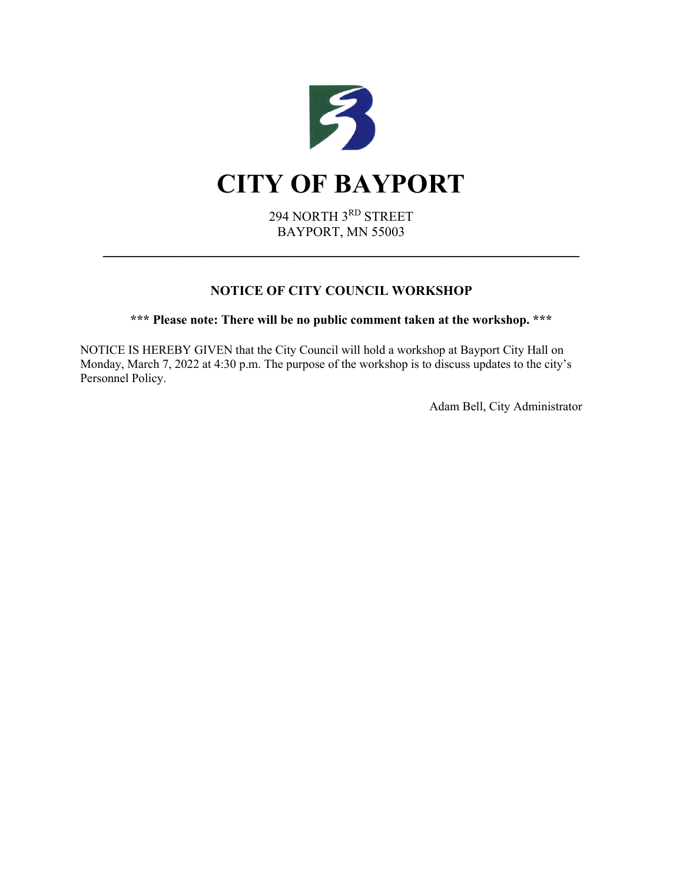

294 NORTH 3RD STREET BAYPORT, MN 55003

**\_\_\_\_\_\_\_\_\_\_\_\_\_\_\_\_\_\_\_\_\_\_\_\_\_\_\_\_\_\_\_\_\_\_\_\_\_\_\_\_\_\_\_\_\_\_\_\_\_\_\_\_\_\_\_\_\_\_\_\_\_**

#### **NOTICE OF CITY COUNCIL WORKSHOP**

**\*\*\* Please note: There will be no public comment taken at the workshop. \*\*\***

NOTICE IS HEREBY GIVEN that the City Council will hold a workshop at Bayport City Hall on Monday, March 7, 2022 at 4:30 p.m. The purpose of the workshop is to discuss updates to the city's Personnel Policy.

Adam Bell, City Administrator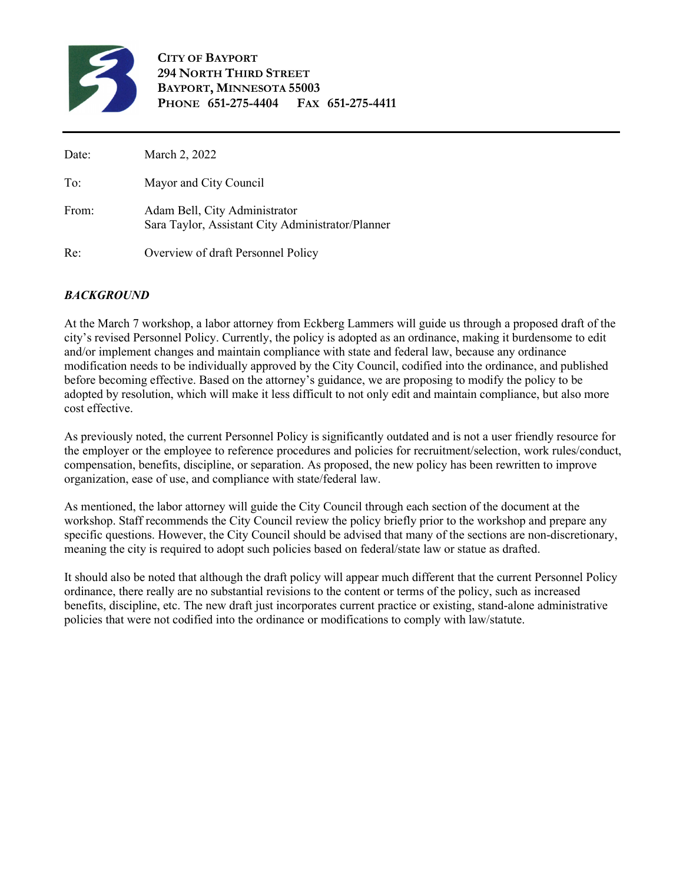

**CITY OF BAYPORT 294 NORTH THIRD STREET BAYPORT, MINNESOTA 55003 PHONE 651-275-4404 FAX 651-275-4411**

| Date: | March 2, 2022                                                                      |
|-------|------------------------------------------------------------------------------------|
| To:   | Mayor and City Council                                                             |
| From: | Adam Bell, City Administrator<br>Sara Taylor, Assistant City Administrator/Planner |
| Re:   | Overview of draft Personnel Policy                                                 |

#### *BACKGROUND*

At the March 7 workshop, a labor attorney from Eckberg Lammers will guide us through a proposed draft of the city's revised Personnel Policy. Currently, the policy is adopted as an ordinance, making it burdensome to edit and/or implement changes and maintain compliance with state and federal law, because any ordinance modification needs to be individually approved by the City Council, codified into the ordinance, and published before becoming effective. Based on the attorney's guidance, we are proposing to modify the policy to be adopted by resolution, which will make it less difficult to not only edit and maintain compliance, but also more cost effective.

As previously noted, the current Personnel Policy is significantly outdated and is not a user friendly resource for the employer or the employee to reference procedures and policies for recruitment/selection, work rules/conduct, compensation, benefits, discipline, or separation. As proposed, the new policy has been rewritten to improve organization, ease of use, and compliance with state/federal law.

As mentioned, the labor attorney will guide the City Council through each section of the document at the workshop. Staff recommends the City Council review the policy briefly prior to the workshop and prepare any specific questions. However, the City Council should be advised that many of the sections are non-discretionary, meaning the city is required to adopt such policies based on federal/state law or statue as drafted.

It should also be noted that although the draft policy will appear much different that the current Personnel Policy ordinance, there really are no substantial revisions to the content or terms of the policy, such as increased benefits, discipline, etc. The new draft just incorporates current practice or existing, stand-alone administrative policies that were not codified into the ordinance or modifications to comply with law/statute.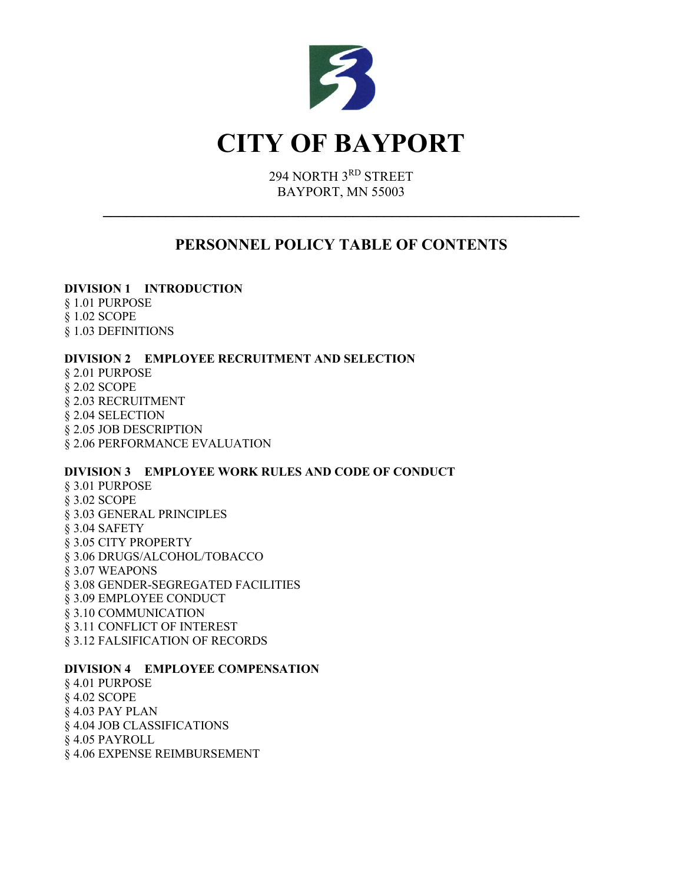

294 NORTH 3RD STREET BAYPORT, MN 55003

**\_\_\_\_\_\_\_\_\_\_\_\_\_\_\_\_\_\_\_\_\_\_\_\_\_\_\_\_\_\_\_\_\_\_\_\_\_\_\_\_\_\_\_\_\_\_\_\_\_\_\_\_\_\_\_\_\_\_\_\_\_**

# **PERSONNEL POLICY TABLE OF CONTENTS**

**DIVISION 1 INTRODUCTION** § 1.01 PURPOSE § 1.02 SCOPE § 1.03 DEFINITIONS

#### **DIVISION 2 EMPLOYEE RECRUITMENT AND SELECTION**

§ 2.01 PURPOSE § 2.02 SCOPE § 2.03 RECRUITMENT § 2.04 SELECTION § 2.05 JOB DESCRIPTION § 2.06 PERFORMANCE EVALUATION

#### **DIVISION 3 EMPLOYEE WORK RULES AND CODE OF CONDUCT**

§ 3.01 PURPOSE § 3.02 SCOPE § 3.03 GENERAL PRINCIPLES § 3.04 SAFETY § 3.05 CITY PROPERTY § 3.06 DRUGS/ALCOHOL/TOBACCO § 3.07 WEAPONS § 3.08 GENDER-SEGREGATED FACILITIES § 3.09 EMPLOYEE CONDUCT § 3.10 COMMUNICATION § 3.11 CONFLICT OF INTEREST § 3.12 FALSIFICATION OF RECORDS

#### **DIVISION 4 EMPLOYEE COMPENSATION**

§ 4.01 PURPOSE § 4.02 SCOPE § 4.03 PAY PLAN § 4.04 JOB CLASSIFICATIONS § 4.05 PAYROLL § 4.06 EXPENSE REIMBURSEMENT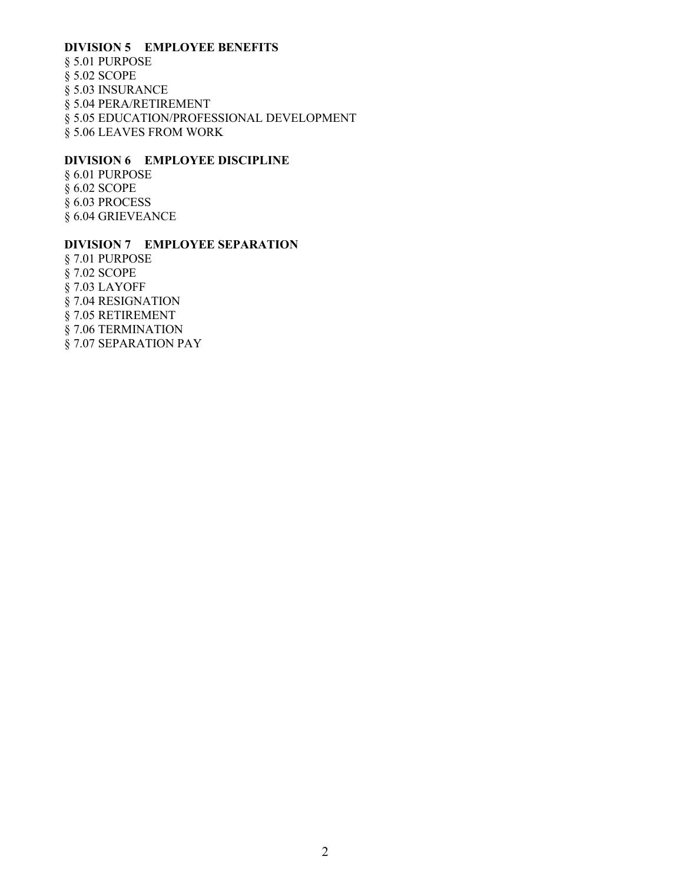#### **DIVISION 5 EMPLOYEE BENEFITS**

§ 5.01 PURPOSE § 5.02 SCOPE § 5.03 INSURANCE § 5.04 PERA/RETIREMENT § 5.05 EDUCATION/PROFESSIONAL DEVELOPMENT § 5.06 LEAVES FROM WORK

#### **DIVISION 6 EMPLOYEE DISCIPLINE**

§ 6.01 PURPOSE § 6.02 SCOPE § 6.03 PROCESS § 6.04 GRIEVEANCE

#### **DIVISION 7 EMPLOYEE SEPARATION**

§ 7.01 PURPOSE § 7.02 SCOPE § 7.03 LAYOFF § 7.04 RESIGNATION § 7.05 RETIREMENT § 7.06 TERMINATION § 7.07 SEPARATION PAY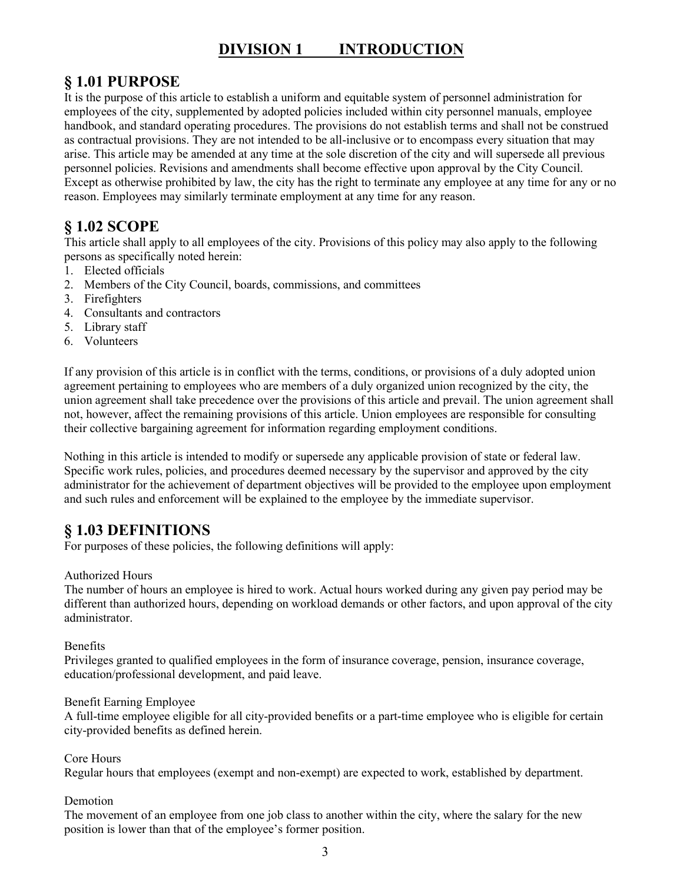# **DIVISION 1 INTRODUCTION**

# **§ 1.01 PURPOSE**

It is the purpose of this article to establish a uniform and equitable system of personnel administration for employees of the city, supplemented by adopted policies included within city personnel manuals, employee handbook, and standard operating procedures. The provisions do not establish terms and shall not be construed as contractual provisions. They are not intended to be all-inclusive or to encompass every situation that may arise. This article may be amended at any time at the sole discretion of the city and will supersede all previous personnel policies. Revisions and amendments shall become effective upon approval by the City Council. Except as otherwise prohibited by law, the city has the right to terminate any employee at any time for any or no reason. Employees may similarly terminate employment at any time for any reason.

# **§ 1.02 SCOPE**

This article shall apply to all employees of the city. Provisions of this policy may also apply to the following persons as specifically noted herein:

- 1. Elected officials
- 2. Members of the City Council, boards, commissions, and committees
- 3. Firefighters
- 4. Consultants and contractors
- 5. Library staff
- 6. Volunteers

If any provision of this article is in conflict with the terms, conditions, or provisions of a duly adopted union agreement pertaining to employees who are members of a duly organized union recognized by the city, the union agreement shall take precedence over the provisions of this article and prevail. The union agreement shall not, however, affect the remaining provisions of this article. Union employees are responsible for consulting their collective bargaining agreement for information regarding employment conditions.

Nothing in this article is intended to modify or supersede any applicable provision of state or federal law. Specific work rules, policies, and procedures deemed necessary by the supervisor and approved by the city administrator for the achievement of department objectives will be provided to the employee upon employment and such rules and enforcement will be explained to the employee by the immediate supervisor.

# **§ 1.03 DEFINITIONS**

For purposes of these policies, the following definitions will apply:

#### Authorized Hours

The number of hours an employee is hired to work. Actual hours worked during any given pay period may be different than authorized hours, depending on workload demands or other factors, and upon approval of the city administrator.

#### **Benefits**

Privileges granted to qualified employees in the form of insurance coverage, pension, insurance coverage, education/professional development, and paid leave.

#### Benefit Earning Employee

A full-time employee eligible for all city-provided benefits or a part-time employee who is eligible for certain city-provided benefits as defined herein.

Core Hours Regular hours that employees (exempt and non-exempt) are expected to work, established by department.

#### **Demotion**

The movement of an employee from one job class to another within the city, where the salary for the new position is lower than that of the employee's former position.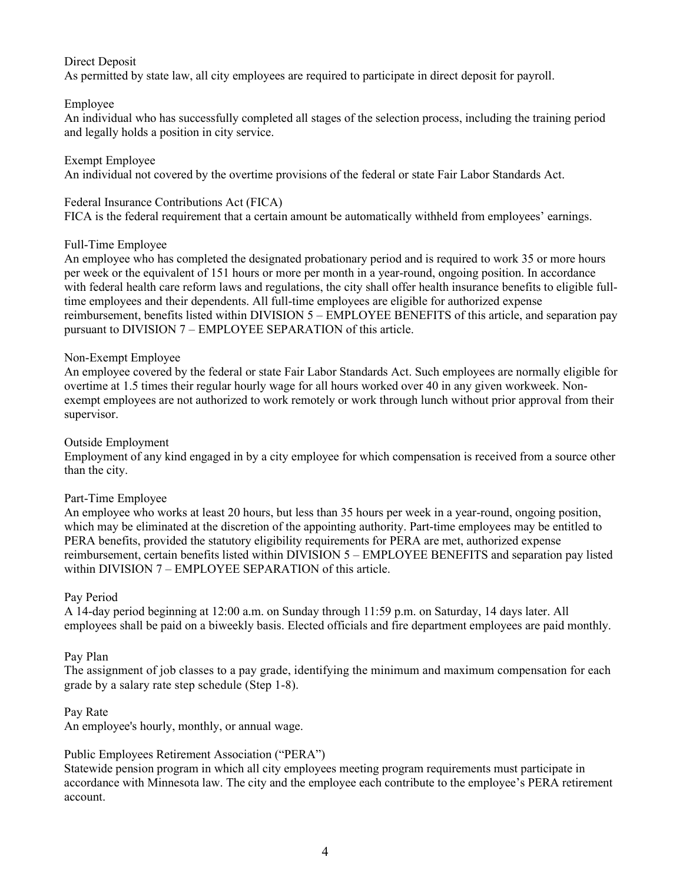#### Direct Deposit

As permitted by state law, all city employees are required to participate in direct deposit for payroll.

#### Employee

An individual who has successfully completed all stages of the selection process, including the training period and legally holds a position in city service.

#### Exempt Employee

An individual not covered by the overtime provisions of the federal or state Fair Labor Standards Act.

#### Federal Insurance Contributions Act (FICA)

FICA is the federal requirement that a certain amount be automatically withheld from employees' earnings.

#### Full-Time Employee

An employee who has completed the designated probationary period and is required to work 35 or more hours per week or the equivalent of 151 hours or more per month in a year-round, ongoing position. In accordance with federal health care reform laws and regulations, the city shall offer health insurance benefits to eligible fulltime employees and their dependents. All full-time employees are eligible for authorized expense reimbursement, benefits listed within DIVISION 5 – EMPLOYEE BENEFITS of this article, and separation pay pursuant to DIVISION 7 – EMPLOYEE SEPARATION of this article.

#### Non-Exempt Employee

An employee covered by the federal or state Fair Labor Standards Act. Such employees are normally eligible for overtime at 1.5 times their regular hourly wage for all hours worked over 40 in any given workweek. Nonexempt employees are not authorized to work remotely or work through lunch without prior approval from their supervisor.

#### Outside Employment

Employment of any kind engaged in by a city employee for which compensation is received from a source other than the city.

#### Part-Time Employee

An employee who works at least 20 hours, but less than 35 hours per week in a year-round, ongoing position, which may be eliminated at the discretion of the appointing authority. Part-time employees may be entitled to PERA benefits, provided the statutory eligibility requirements for PERA are met, authorized expense reimbursement, certain benefits listed within DIVISION 5 – EMPLOYEE BENEFITS and separation pay listed within DIVISION 7 – EMPLOYEE SEPARATION of this article.

#### Pay Period

A 14-day period beginning at 12:00 a.m. on Sunday through 11:59 p.m. on Saturday, 14 days later. All employees shall be paid on a biweekly basis. Elected officials and fire department employees are paid monthly.

#### Pay Plan

The assignment of job classes to a pay grade, identifying the minimum and maximum compensation for each grade by a salary rate step schedule (Step 1-8).

#### Pay Rate

An employee's hourly, monthly, or annual wage.

#### Public Employees Retirement Association ("PERA")

Statewide pension program in which all city employees meeting program requirements must participate in accordance with Minnesota law. The city and the employee each contribute to the employee's PERA retirement account.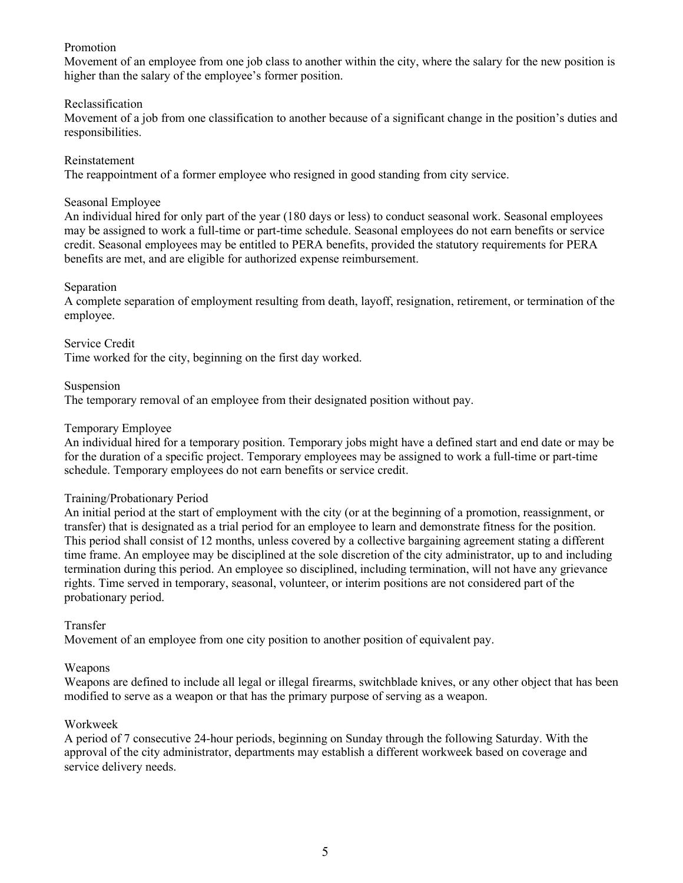#### Promotion

Movement of an employee from one job class to another within the city, where the salary for the new position is higher than the salary of the employee's former position.

#### Reclassification

Movement of a job from one classification to another because of a significant change in the position's duties and responsibilities.

#### Reinstatement

The reappointment of a former employee who resigned in good standing from city service.

#### Seasonal Employee

An individual hired for only part of the year (180 days or less) to conduct seasonal work. Seasonal employees may be assigned to work a full-time or part-time schedule. Seasonal employees do not earn benefits or service credit. Seasonal employees may be entitled to PERA benefits, provided the statutory requirements for PERA benefits are met, and are eligible for authorized expense reimbursement.

#### Separation

A complete separation of employment resulting from death, layoff, resignation, retirement, or termination of the employee.

Service Credit Time worked for the city, beginning on the first day worked.

# Suspension

The temporary removal of an employee from their designated position without pay.

#### Temporary Employee

An individual hired for a temporary position. Temporary jobs might have a defined start and end date or may be for the duration of a specific project. Temporary employees may be assigned to work a full-time or part-time schedule. Temporary employees do not earn benefits or service credit.

#### Training/Probationary Period

An initial period at the start of employment with the city (or at the beginning of a promotion, reassignment, or transfer) that is designated as a trial period for an employee to learn and demonstrate fitness for the position. This period shall consist of 12 months, unless covered by a collective bargaining agreement stating a different time frame. An employee may be disciplined at the sole discretion of the city administrator, up to and including termination during this period. An employee so disciplined, including termination, will not have any grievance rights. Time served in temporary, seasonal, volunteer, or interim positions are not considered part of the probationary period.

#### Transfer

Movement of an employee from one city position to another position of equivalent pay.

#### Weapons

Weapons are defined to include all legal or illegal firearms, switchblade knives, or any other object that has been modified to serve as a weapon or that has the primary purpose of serving as a weapon.

#### Workweek

A period of 7 consecutive 24-hour periods, beginning on Sunday through the following Saturday. With the approval of the city administrator, departments may establish a different workweek based on coverage and service delivery needs.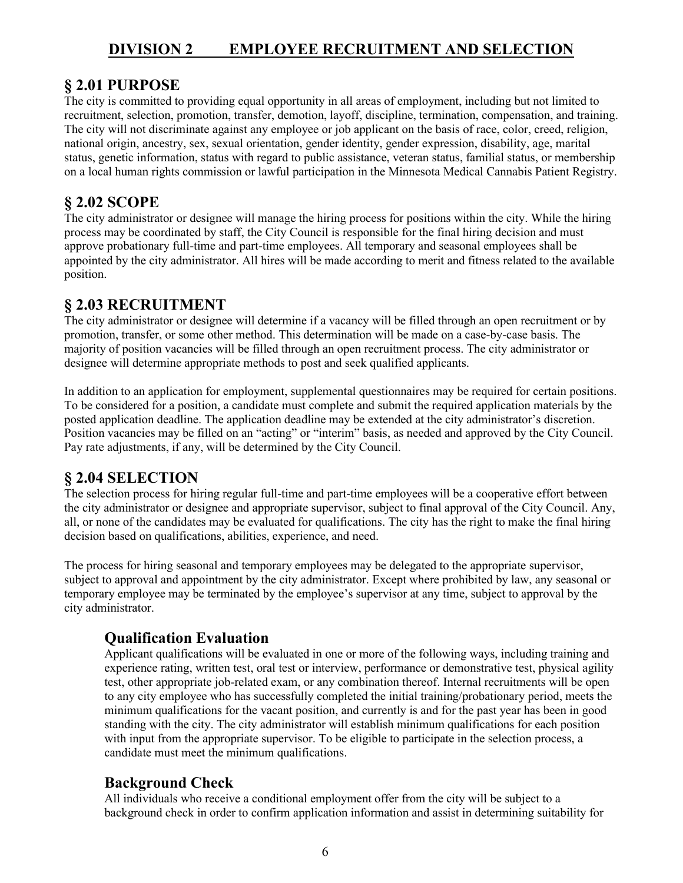# **DIVISION 2 EMPLOYEE RECRUITMENT AND SELECTION**

## **§ 2.01 PURPOSE**

The city is committed to providing equal opportunity in all areas of employment, including but not limited to recruitment, selection, promotion, transfer, demotion, layoff, discipline, termination, compensation, and training. The city will not discriminate against any employee or job applicant on the basis of race, color, creed, religion, national origin, ancestry, sex, sexual orientation, gender identity, gender expression, disability, age, marital status, genetic information, status with regard to public assistance, veteran status, familial status, or membership on a local human rights commission or lawful participation in the Minnesota Medical Cannabis Patient Registry.

## **§ 2.02 SCOPE**

The city administrator or designee will manage the hiring process for positions within the city. While the hiring process may be coordinated by staff, the City Council is responsible for the final hiring decision and must approve probationary full-time and part-time employees. All temporary and seasonal employees shall be appointed by the city administrator. All hires will be made according to merit and fitness related to the available position.

# **§ 2.03 RECRUITMENT**

The city administrator or designee will determine if a vacancy will be filled through an open recruitment or by promotion, transfer, or some other method. This determination will be made on a case-by-case basis. The majority of position vacancies will be filled through an open recruitment process. The city administrator or designee will determine appropriate methods to post and seek qualified applicants.

In addition to an application for employment, supplemental questionnaires may be required for certain positions. To be considered for a position, a candidate must complete and submit the required application materials by the posted application deadline. The application deadline may be extended at the city administrator's discretion. Position vacancies may be filled on an "acting" or "interim" basis, as needed and approved by the City Council. Pay rate adjustments, if any, will be determined by the City Council.

# **§ 2.04 SELECTION**

The selection process for hiring regular full-time and part-time employees will be a cooperative effort between the city administrator or designee and appropriate supervisor, subject to final approval of the City Council. Any, all, or none of the candidates may be evaluated for qualifications. The city has the right to make the final hiring decision based on qualifications, abilities, experience, and need.

The process for hiring seasonal and temporary employees may be delegated to the appropriate supervisor, subject to approval and appointment by the city administrator. Except where prohibited by law, any seasonal or temporary employee may be terminated by the employee's supervisor at any time, subject to approval by the city administrator.

## **Qualification Evaluation**

Applicant qualifications will be evaluated in one or more of the following ways, including training and experience rating, written test, oral test or interview, performance or demonstrative test, physical agility test, other appropriate job-related exam, or any combination thereof. Internal recruitments will be open to any city employee who has successfully completed the initial training/probationary period, meets the minimum qualifications for the vacant position, and currently is and for the past year has been in good standing with the city. The city administrator will establish minimum qualifications for each position with input from the appropriate supervisor. To be eligible to participate in the selection process, a candidate must meet the minimum qualifications.

## **Background Check**

All individuals who receive a conditional employment offer from the city will be subject to a background check in order to confirm application information and assist in determining suitability for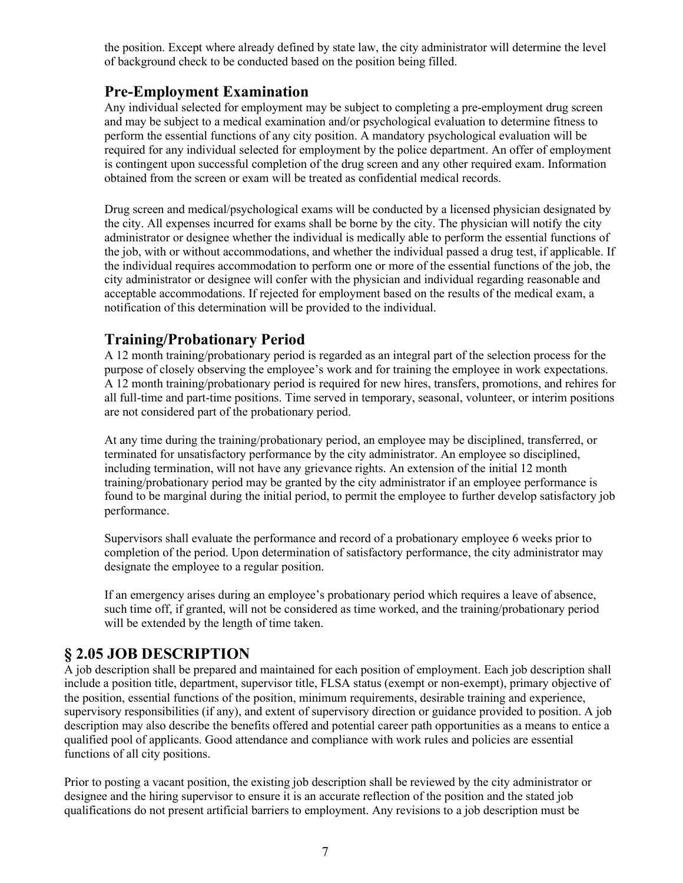the position. Except where already defined by state law, the city administrator will determine the level of background check to be conducted based on the position being filled.

#### **Pre-Employment Examination**

Any individual selected for employment may be subject to completing a pre-employment drug screen and may be subject to a medical examination and/or psychological evaluation to determine fitness to perform the essential functions of any city position. A mandatory psychological evaluation will be required for any individual selected for employment by the police department. An offer of employment is contingent upon successful completion of the drug screen and any other required exam. Information obtained from the screen or exam will be treated as confidential medical records.

Drug screen and medical/psychological exams will be conducted by a licensed physician designated by the city. All expenses incurred for exams shall be borne by the city. The physician will notify the city administrator or designee whether the individual is medically able to perform the essential functions of the job, with or without accommodations, and whether the individual passed a drug test, if applicable. If the individual requires accommodation to perform one or more of the essential functions of the job, the city administrator or designee will confer with the physician and individual regarding reasonable and acceptable accommodations. If rejected for employment based on the results of the medical exam, a notification of this determination will be provided to the individual.

### **Training/Probationary Period**

A 12 month training/probationary period is regarded as an integral part of the selection process for the purpose of closely observing the employee's work and for training the employee in work expectations. A 12 month training/probationary period is required for new hires, transfers, promotions, and rehires for all full-time and part-time positions. Time served in temporary, seasonal, volunteer, or interim positions are not considered part of the probationary period.

At any time during the training/probationary period, an employee may be disciplined, transferred, or terminated for unsatisfactory performance by the city administrator. An employee so disciplined, including termination, will not have any grievance rights. An extension of the initial 12 month training/probationary period may be granted by the city administrator if an employee performance is found to be marginal during the initial period, to permit the employee to further develop satisfactory job performance.

Supervisors shall evaluate the performance and record of a probationary employee 6 weeks prior to completion of the period. Upon determination of satisfactory performance, the city administrator may designate the employee to a regular position.

If an emergency arises during an employee's probationary period which requires a leave of absence, such time off, if granted, will not be considered as time worked, and the training/probationary period will be extended by the length of time taken.

### **§ 2.05 JOB DESCRIPTION**

A job description shall be prepared and maintained for each position of employment. Each job description shall include a position title, department, supervisor title, FLSA status (exempt or non-exempt), primary objective of the position, essential functions of the position, minimum requirements, desirable training and experience, supervisory responsibilities (if any), and extent of supervisory direction or guidance provided to position. A job description may also describe the benefits offered and potential career path opportunities as a means to entice a qualified pool of applicants. Good attendance and compliance with work rules and policies are essential functions of all city positions.

Prior to posting a vacant position, the existing job description shall be reviewed by the city administrator or designee and the hiring supervisor to ensure it is an accurate reflection of the position and the stated job qualifications do not present artificial barriers to employment. Any revisions to a job description must be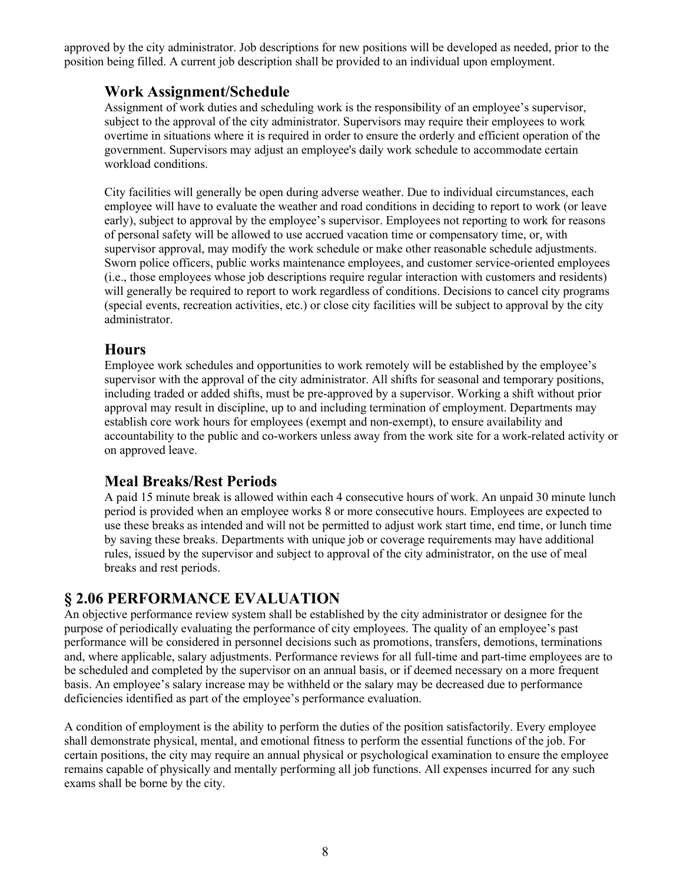approved by the city administrator. Job descriptions for new positions will be developed as needed, prior to the position being filled. A current job description shall be provided to an individual upon employment.

#### **Work Assignment/Schedule**

Assignment of work duties and scheduling work is the responsibility of an employee's supervisor, subject to the approval of the city administrator. Supervisors may require their employees to work overtime in situations where it is required in order to ensure the orderly and efficient operation of the government. Supervisors may adjust an employee's daily work schedule to accommodate certain workload conditions.

City facilities will generally be open during adverse weather. Due to individual circumstances, each employee will have to evaluate the weather and road conditions in deciding to report to work (or leave early), subject to approval by the employee's supervisor. Employees not reporting to work for reasons of personal safety will be allowed to use accrued vacation time or compensatory time, or, with supervisor approval, may modify the work schedule or make other reasonable schedule adjustments. Sworn police officers, public works maintenance employees, and customer service-oriented employees (i.e., those employees whose job descriptions require regular interaction with customers and residents) will generally be required to report to work regardless of conditions. Decisions to cancel city programs (special events, recreation activities, etc.) or close city facilities will be subject to approval by the city administrator.

#### **Hours**

Employee work schedules and opportunities to work remotely will be established by the employee's supervisor with the approval of the city administrator. All shifts for seasonal and temporary positions, including traded or added shifts, must be pre-approved by a supervisor. Working a shift without prior approval may result in discipline, up to and including termination of employment. Departments may establish core work hours for employees (exempt and non-exempt), to ensure availability and accountability to the public and co-workers unless away from the work site for a work-related activity or on approved leave.

### **Meal Breaks/Rest Periods**

A paid 15 minute break is allowed within each 4 consecutive hours of work. An unpaid 30 minute lunch period is provided when an employee works 8 or more consecutive hours. Employees are expected to use these breaks as intended and will not be permitted to adjust work start time, end time, or lunch time by saving these breaks. Departments with unique job or coverage requirements may have additional rules, issued by the supervisor and subject to approval of the city administrator, on the use of meal breaks and rest periods.

### **§ 2.06 PERFORMANCE EVALUATION**

An objective performance review system shall be established by the city administrator or designee for the purpose of periodically evaluating the performance of city employees. The quality of an employee's past performance will be considered in personnel decisions such as promotions, transfers, demotions, terminations and, where applicable, salary adjustments. Performance reviews for all full-time and part-time employees are to be scheduled and completed by the supervisor on an annual basis, or if deemed necessary on a more frequent basis. An employee's salary increase may be withheld or the salary may be decreased due to performance deficiencies identified as part of the employee's performance evaluation.

A condition of employment is the ability to perform the duties of the position satisfactorily. Every employee shall demonstrate physical, mental, and emotional fitness to perform the essential functions of the job. For certain positions, the city may require an annual physical or psychological examination to ensure the employee remains capable of physically and mentally performing all job functions. All expenses incurred for any such exams shall be borne by the city.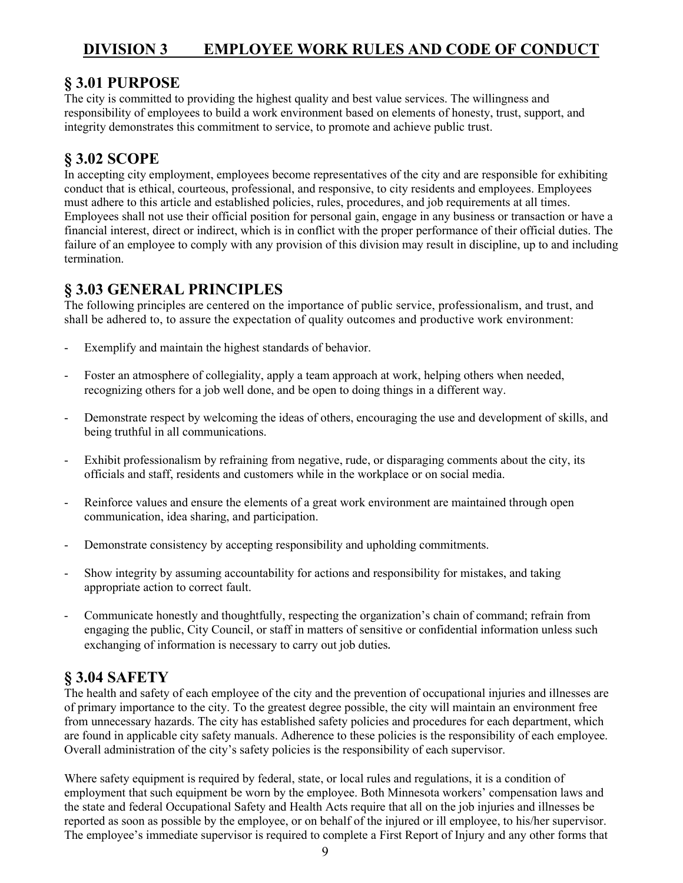# **DIVISION 3 EMPLOYEE WORK RULES AND CODE OF CONDUCT**

## **§ 3.01 PURPOSE**

The city is committed to providing the highest quality and best value services. The willingness and responsibility of employees to build a work environment based on elements of honesty, trust, support, and integrity demonstrates this commitment to service, to promote and achieve public trust.

# **§ 3.02 SCOPE**

In accepting city employment, employees become representatives of the city and are responsible for exhibiting conduct that is ethical, courteous, professional, and responsive, to city residents and employees. Employees must adhere to this article and established policies, rules, procedures, and job requirements at all times. Employees shall not use their official position for personal gain, engage in any business or transaction or have a financial interest, direct or indirect, which is in conflict with the proper performance of their official duties. The failure of an employee to comply with any provision of this division may result in discipline, up to and including termination.

# **§ 3.03 GENERAL PRINCIPLES**

The following principles are centered on the importance of public service, professionalism, and trust, and shall be adhered to, to assure the expectation of quality outcomes and productive work environment:

- Exemplify and maintain the highest standards of behavior.
- Foster an atmosphere of collegiality, apply a team approach at work, helping others when needed, recognizing others for a job well done, and be open to doing things in a different way.
- Demonstrate respect by welcoming the ideas of others, encouraging the use and development of skills, and being truthful in all communications.
- Exhibit professionalism by refraining from negative, rude, or disparaging comments about the city, its officials and staff, residents and customers while in the workplace or on social media.
- Reinforce values and ensure the elements of a great work environment are maintained through open communication, idea sharing, and participation.
- Demonstrate consistency by accepting responsibility and upholding commitments.
- Show integrity by assuming accountability for actions and responsibility for mistakes, and taking appropriate action to correct fault.
- Communicate honestly and thoughtfully, respecting the organization's chain of command; refrain from engaging the public, City Council, or staff in matters of sensitive or confidential information unless such exchanging of information is necessary to carry out job duties*.*

## **§ 3.04 SAFETY**

The health and safety of each employee of the city and the prevention of occupational injuries and illnesses are of primary importance to the city. To the greatest degree possible, the city will maintain an environment free from unnecessary hazards. The city has established safety policies and procedures for each department, which are found in applicable city safety manuals. Adherence to these policies is the responsibility of each employee. Overall administration of the city's safety policies is the responsibility of each supervisor.

Where safety equipment is required by federal, state, or local rules and regulations, it is a condition of employment that such equipment be worn by the employee. Both Minnesota workers' compensation laws and the state and federal Occupational Safety and Health Acts require that all on the job injuries and illnesses be reported as soon as possible by the employee, or on behalf of the injured or ill employee, to his/her supervisor. The employee's immediate supervisor is required to complete a First Report of Injury and any other forms that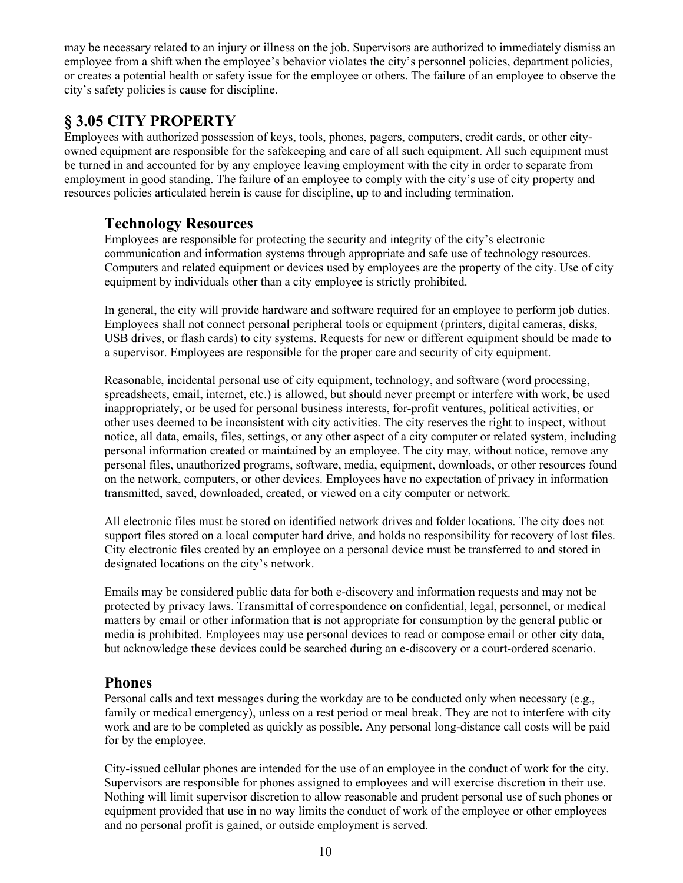may be necessary related to an injury or illness on the job. Supervisors are authorized to immediately dismiss an employee from a shift when the employee's behavior violates the city's personnel policies, department policies, or creates a potential health or safety issue for the employee or others. The failure of an employee to observe the city's safety policies is cause for discipline.

# **§ 3.05 CITY PROPERTY**

Employees with authorized possession of keys, tools, phones, pagers, computers, credit cards, or other cityowned equipment are responsible for the safekeeping and care of all such equipment. All such equipment must be turned in and accounted for by any employee leaving employment with the city in order to separate from employment in good standing. The failure of an employee to comply with the city's use of city property and resources policies articulated herein is cause for discipline, up to and including termination.

## **Technology Resources**

Employees are responsible for protecting the security and integrity of the city's electronic communication and information systems through appropriate and safe use of technology resources. Computers and related equipment or devices used by employees are the property of the city. Use of city equipment by individuals other than a city employee is strictly prohibited.

In general, the city will provide hardware and software required for an employee to perform job duties. Employees shall not connect personal peripheral tools or equipment (printers, digital cameras, disks, USB drives, or flash cards) to city systems. Requests for new or different equipment should be made to a supervisor. Employees are responsible for the proper care and security of city equipment.

Reasonable, incidental personal use of city equipment, technology, and software (word processing, spreadsheets, email, internet, etc.) is allowed, but should never preempt or interfere with work, be used inappropriately, or be used for personal business interests, for-profit ventures, political activities, or other uses deemed to be inconsistent with city activities. The city reserves the right to inspect, without notice, all data, emails, files, settings, or any other aspect of a city computer or related system, including personal information created or maintained by an employee. The city may, without notice, remove any personal files, unauthorized programs, software, media, equipment, downloads, or other resources found on the network, computers, or other devices. Employees have no expectation of privacy in information transmitted, saved, downloaded, created, or viewed on a city computer or network.

All electronic files must be stored on identified network drives and folder locations. The city does not support files stored on a local computer hard drive, and holds no responsibility for recovery of lost files. City electronic files created by an employee on a personal device must be transferred to and stored in designated locations on the city's network.

Emails may be considered public data for both e-discovery and information requests and may not be protected by privacy laws. Transmittal of correspondence on confidential, legal, personnel, or medical matters by email or other information that is not appropriate for consumption by the general public or media is prohibited. Employees may use personal devices to read or compose email or other city data, but acknowledge these devices could be searched during an e-discovery or a court-ordered scenario.

### **Phones**

Personal calls and text messages during the workday are to be conducted only when necessary (e.g., family or medical emergency), unless on a rest period or meal break. They are not to interfere with city work and are to be completed as quickly as possible. Any personal long-distance call costs will be paid for by the employee.

City-issued cellular phones are intended for the use of an employee in the conduct of work for the city. Supervisors are responsible for phones assigned to employees and will exercise discretion in their use. Nothing will limit supervisor discretion to allow reasonable and prudent personal use of such phones or equipment provided that use in no way limits the conduct of work of the employee or other employees and no personal profit is gained, or outside employment is served.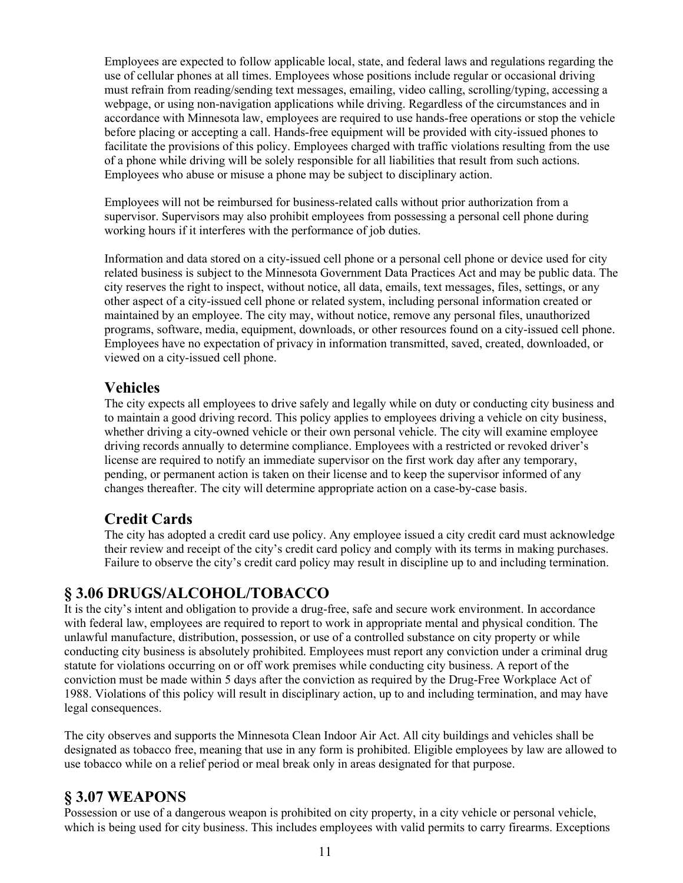Employees are expected to follow applicable local, state, and federal laws and regulations regarding the use of cellular phones at all times. Employees whose positions include regular or occasional driving must refrain from reading/sending text messages, emailing, video calling, scrolling/typing, accessing a webpage, or using non-navigation applications while driving. Regardless of the circumstances and in accordance with Minnesota law, employees are required to use hands-free operations or stop the vehicle before placing or accepting a call. Hands-free equipment will be provided with city-issued phones to facilitate the provisions of this policy. Employees charged with traffic violations resulting from the use of a phone while driving will be solely responsible for all liabilities that result from such actions. Employees who abuse or misuse a phone may be subject to disciplinary action.

Employees will not be reimbursed for business-related calls without prior authorization from a supervisor. Supervisors may also prohibit employees from possessing a personal cell phone during working hours if it interferes with the performance of job duties.

Information and data stored on a city-issued cell phone or a personal cell phone or device used for city related business is subject to the Minnesota Government Data Practices Act and may be public data. The city reserves the right to inspect, without notice, all data, emails, text messages, files, settings, or any other aspect of a city-issued cell phone or related system, including personal information created or maintained by an employee. The city may, without notice, remove any personal files, unauthorized programs, software, media, equipment, downloads, or other resources found on a city-issued cell phone. Employees have no expectation of privacy in information transmitted, saved, created, downloaded, or viewed on a city-issued cell phone.

### **Vehicles**

The city expects all employees to drive safely and legally while on duty or conducting city business and to maintain a good driving record. This policy applies to employees driving a vehicle on city business, whether driving a city-owned vehicle or their own personal vehicle. The city will examine employee driving records annually to determine compliance. Employees with a restricted or revoked driver's license are required to notify an immediate supervisor on the first work day after any temporary, pending, or permanent action is taken on their license and to keep the supervisor informed of any changes thereafter. The city will determine appropriate action on a case-by-case basis.

### **Credit Cards**

The city has adopted a credit card use policy. Any employee issued a city credit card must acknowledge their review and receipt of the city's credit card policy and comply with its terms in making purchases. Failure to observe the city's credit card policy may result in discipline up to and including termination.

## **§ 3.06 DRUGS/ALCOHOL/TOBACCO**

It is the city's intent and obligation to provide a drug-free, safe and secure work environment. In accordance with federal law, employees are required to report to work in appropriate mental and physical condition. The unlawful manufacture, distribution, possession, or use of a controlled substance on city property or while conducting city business is absolutely prohibited. Employees must report any conviction under a criminal drug statute for violations occurring on or off work premises while conducting city business. A report of the conviction must be made within 5 days after the conviction as required by the Drug-Free Workplace Act of 1988. Violations of this policy will result in disciplinary action, up to and including termination, and may have legal consequences.

The city observes and supports the Minnesota Clean Indoor Air Act. All city buildings and vehicles shall be designated as tobacco free, meaning that use in any form is prohibited. Eligible employees by law are allowed to use tobacco while on a relief period or meal break only in areas designated for that purpose.

## **§ 3.07 WEAPONS**

Possession or use of a dangerous weapon is prohibited on city property, in a city vehicle or personal vehicle, which is being used for city business. This includes employees with valid permits to carry firearms. Exceptions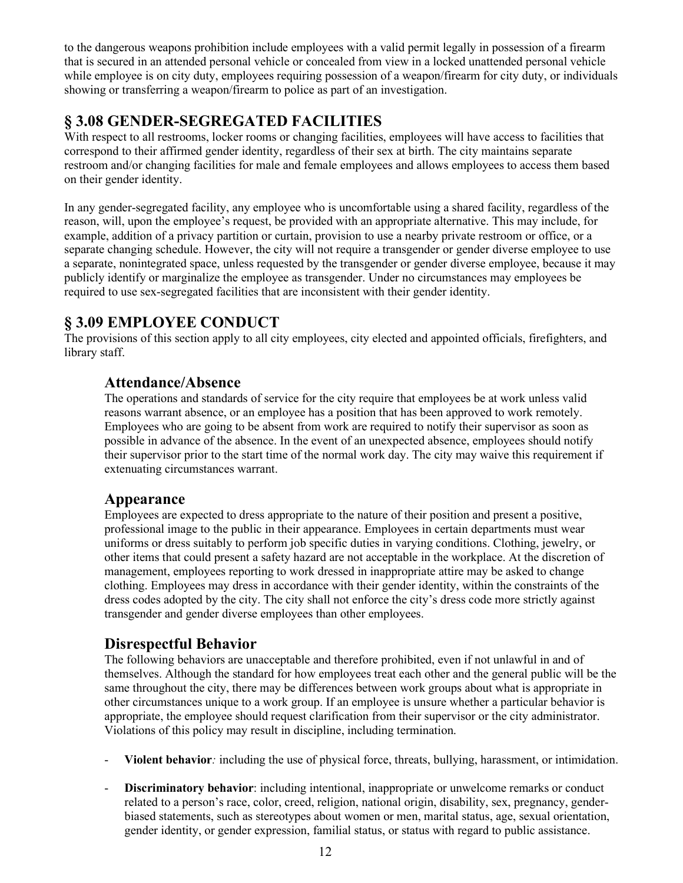to the dangerous weapons prohibition include employees with a valid permit legally in possession of a firearm that is secured in an attended personal vehicle or concealed from view in a locked unattended personal vehicle while employee is on city duty, employees requiring possession of a weapon/firearm for city duty, or individuals showing or transferring a weapon/firearm to police as part of an investigation.

# **§ 3.08 GENDER-SEGREGATED FACILITIES**

With respect to all restrooms, locker rooms or changing facilities, employees will have access to facilities that correspond to their affirmed gender identity, regardless of their sex at birth. The city maintains separate restroom and/or changing facilities for male and female employees and allows employees to access them based on their gender identity.

In any gender‐segregated facility, any employee who is uncomfortable using a shared facility, regardless of the reason, will, upon the employee's request, be provided with an appropriate alternative. This may include, for example, addition of a privacy partition or curtain, provision to use a nearby private restroom or office, or a separate changing schedule. However, the city will not require a transgender or gender diverse employee to use a separate, nonintegrated space, unless requested by the transgender or gender diverse employee, because it may publicly identify or marginalize the employee as transgender. Under no circumstances may employees be required to use sex‐segregated facilities that are inconsistent with their gender identity.

## **§ 3.09 EMPLOYEE CONDUCT**

The provisions of this section apply to all city employees, city elected and appointed officials, firefighters, and library staff.

#### **Attendance/Absence**

The operations and standards of service for the city require that employees be at work unless valid reasons warrant absence, or an employee has a position that has been approved to work remotely. Employees who are going to be absent from work are required to notify their supervisor as soon as possible in advance of the absence. In the event of an unexpected absence, employees should notify their supervisor prior to the start time of the normal work day. The city may waive this requirement if extenuating circumstances warrant.

#### **Appearance**

Employees are expected to dress appropriate to the nature of their position and present a positive, professional image to the public in their appearance. Employees in certain departments must wear uniforms or dress suitably to perform job specific duties in varying conditions. Clothing, jewelry, or other items that could present a safety hazard are not acceptable in the workplace. At the discretion of management, employees reporting to work dressed in inappropriate attire may be asked to change clothing. Employees may dress in accordance with their gender identity, within the constraints of the dress codes adopted by the city. The city shall not enforce the city's dress code more strictly against transgender and gender diverse employees than other employees.

### **Disrespectful Behavior**

The following behaviors are unacceptable and therefore prohibited, even if not unlawful in and of themselves. Although the standard for how employees treat each other and the general public will be the same throughout the city, there may be differences between work groups about what is appropriate in other circumstances unique to a work group. If an employee is unsure whether a particular behavior is appropriate, the employee should request clarification from their supervisor or the city administrator. Violations of this policy may result in discipline, including termination.

- **Violent behavior***:* including the use of physical force, threats, bullying, harassment, or intimidation.
- **Discriminatory behavior**: including intentional, inappropriate or unwelcome remarks or conduct related to a person's race, color, creed, religion, national origin, disability, sex, pregnancy, genderbiased statements, such as stereotypes about women or men, marital status, age, sexual orientation, gender identity, or gender expression, familial status, or status with regard to public assistance.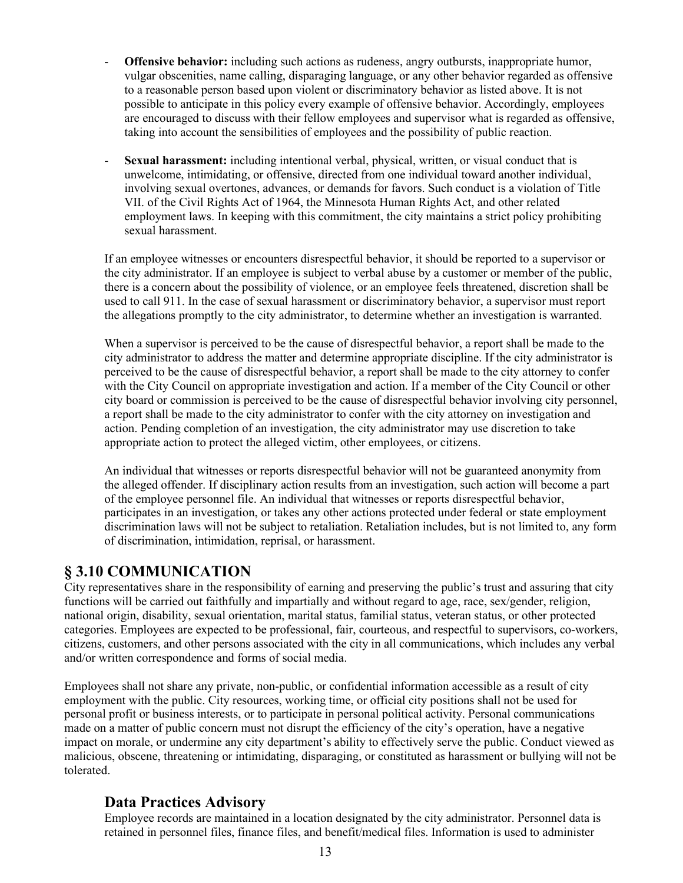- **Offensive behavior:** including such actions as rudeness, angry outbursts, inappropriate humor, vulgar obscenities, name calling, disparaging language, or any other behavior regarded as offensive to a reasonable person based upon violent or discriminatory behavior as listed above. It is not possible to anticipate in this policy every example of offensive behavior. Accordingly, employees are encouraged to discuss with their fellow employees and supervisor what is regarded as offensive, taking into account the sensibilities of employees and the possibility of public reaction.
- **Sexual harassment:** including intentional verbal, physical, written, or visual conduct that is unwelcome, intimidating, or offensive, directed from one individual toward another individual, involving sexual overtones, advances, or demands for favors. Such conduct is a violation of Title VII. of the Civil Rights Act of 1964, the Minnesota Human Rights Act, and other related employment laws. In keeping with this commitment, the city maintains a strict policy prohibiting sexual harassment.

If an employee witnesses or encounters disrespectful behavior, it should be reported to a supervisor or the city administrator. If an employee is subject to verbal abuse by a customer or member of the public, there is a concern about the possibility of violence, or an employee feels threatened, discretion shall be used to call 911. In the case of sexual harassment or discriminatory behavior, a supervisor must report the allegations promptly to the city administrator, to determine whether an investigation is warranted.

When a supervisor is perceived to be the cause of disrespectful behavior, a report shall be made to the city administrator to address the matter and determine appropriate discipline. If the city administrator is perceived to be the cause of disrespectful behavior, a report shall be made to the city attorney to confer with the City Council on appropriate investigation and action. If a member of the City Council or other city board or commission is perceived to be the cause of disrespectful behavior involving city personnel, a report shall be made to the city administrator to confer with the city attorney on investigation and action. Pending completion of an investigation, the city administrator may use discretion to take appropriate action to protect the alleged victim, other employees, or citizens.

An individual that witnesses or reports disrespectful behavior will not be guaranteed anonymity from the alleged offender. If disciplinary action results from an investigation, such action will become a part of the employee personnel file. An individual that witnesses or reports disrespectful behavior, participates in an investigation, or takes any other actions protected under federal or state employment discrimination laws will not be subject to retaliation. Retaliation includes, but is not limited to, any form of discrimination, intimidation, reprisal, or harassment.

### **§ 3.10 COMMUNICATION**

City representatives share in the responsibility of earning and preserving the public's trust and assuring that city functions will be carried out faithfully and impartially and without regard to age, race, sex/gender, religion, national origin, disability, sexual orientation, marital status, familial status, veteran status, or other protected categories. Employees are expected to be professional, fair, courteous, and respectful to supervisors, co-workers, citizens, customers, and other persons associated with the city in all communications, which includes any verbal and/or written correspondence and forms of social media.

Employees shall not share any private, non-public, or confidential information accessible as a result of city employment with the public. City resources, working time, or official city positions shall not be used for personal profit or business interests, or to participate in personal political activity. Personal communications made on a matter of public concern must not disrupt the efficiency of the city's operation, have a negative impact on morale, or undermine any city department's ability to effectively serve the public. Conduct viewed as malicious, obscene, threatening or intimidating, disparaging, or constituted as harassment or bullying will not be tolerated.

## **Data Practices Advisory**

Employee records are maintained in a location designated by the city administrator. Personnel data is retained in personnel files, finance files, and benefit/medical files. Information is used to administer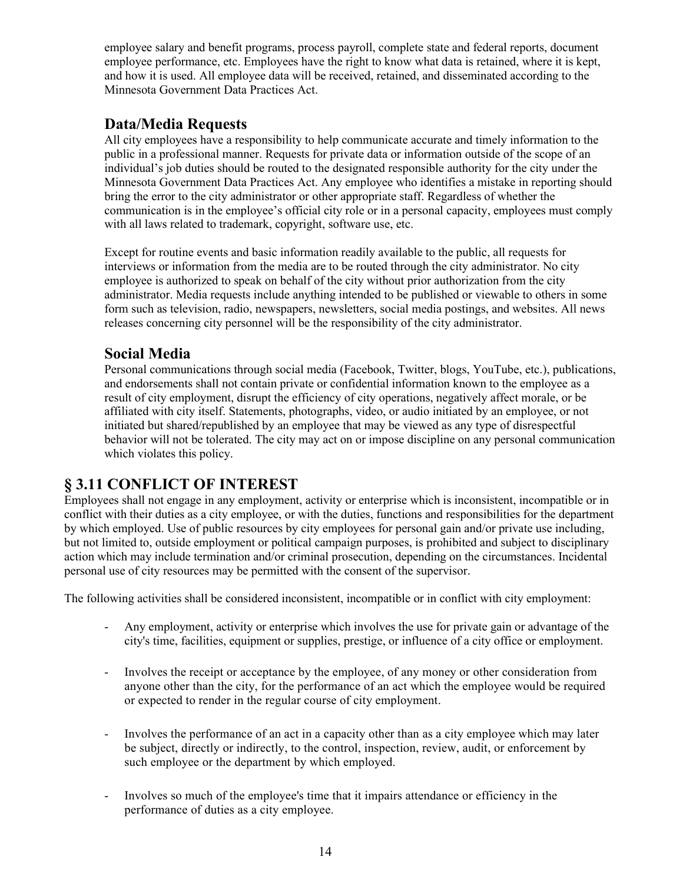employee salary and benefit programs, process payroll, complete state and federal reports, document employee performance, etc. Employees have the right to know what data is retained, where it is kept, and how it is used. All employee data will be received, retained, and disseminated according to the Minnesota Government Data Practices Act.

## **Data/Media Requests**

All city employees have a responsibility to help communicate accurate and timely information to the public in a professional manner. Requests for private data or information outside of the scope of an individual's job duties should be routed to the designated responsible authority for the city under the Minnesota Government Data Practices Act. Any employee who identifies a mistake in reporting should bring the error to the city administrator or other appropriate staff. Regardless of whether the communication is in the employee's official city role or in a personal capacity, employees must comply with all laws related to trademark, copyright, software use, etc.

Except for routine events and basic information readily available to the public, all requests for interviews or information from the media are to be routed through the city administrator. No city employee is authorized to speak on behalf of the city without prior authorization from the city administrator. Media requests include anything intended to be published or viewable to others in some form such as television, radio, newspapers, newsletters, social media postings, and websites. All news releases concerning city personnel will be the responsibility of the city administrator.

### **Social Media**

Personal communications through social media (Facebook, Twitter, blogs, YouTube, etc.), publications, and endorsements shall not contain private or confidential information known to the employee as a result of city employment, disrupt the efficiency of city operations, negatively affect morale, or be affiliated with city itself. Statements, photographs, video, or audio initiated by an employee, or not initiated but shared/republished by an employee that may be viewed as any type of disrespectful behavior will not be tolerated. The city may act on or impose discipline on any personal communication which violates this policy.

## **§ 3.11 CONFLICT OF INTEREST**

Employees shall not engage in any employment, activity or enterprise which is inconsistent, incompatible or in conflict with their duties as a city employee, or with the duties, functions and responsibilities for the department by which employed. Use of public resources by city employees for personal gain and/or private use including, but not limited to, outside employment or political campaign purposes, is prohibited and subject to disciplinary action which may include termination and/or criminal prosecution, depending on the circumstances. Incidental personal use of city resources may be permitted with the consent of the supervisor.

The following activities shall be considered inconsistent, incompatible or in conflict with city employment:

- Any employment, activity or enterprise which involves the use for private gain or advantage of the city's time, facilities, equipment or supplies, prestige, or influence of a city office or employment.
- Involves the receipt or acceptance by the employee, of any money or other consideration from anyone other than the city, for the performance of an act which the employee would be required or expected to render in the regular course of city employment.
- Involves the performance of an act in a capacity other than as a city employee which may later be subject, directly or indirectly, to the control, inspection, review, audit, or enforcement by such employee or the department by which employed.
- Involves so much of the employee's time that it impairs attendance or efficiency in the performance of duties as a city employee.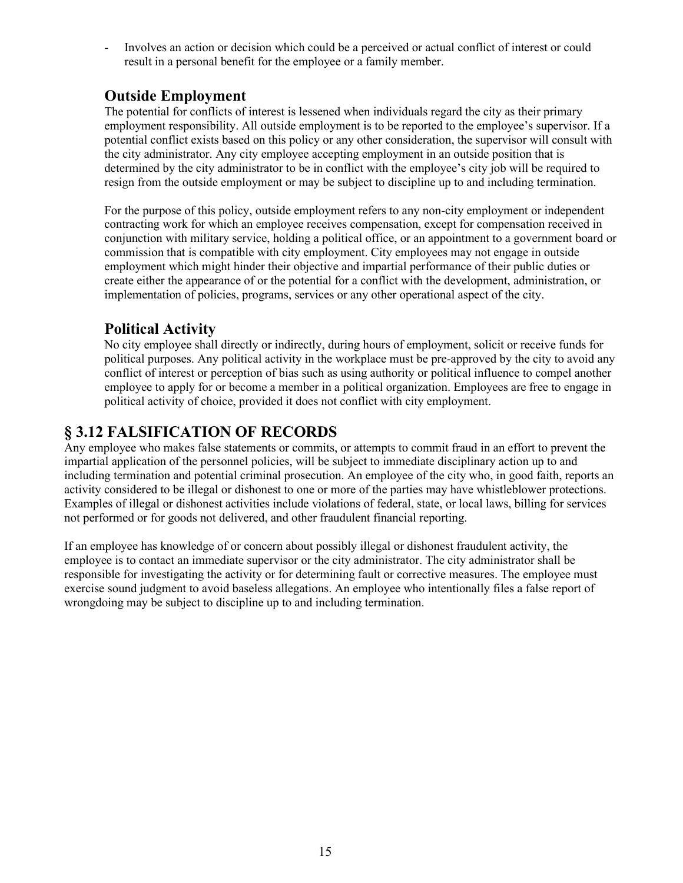- Involves an action or decision which could be a perceived or actual conflict of interest or could result in a personal benefit for the employee or a family member.

### **Outside Employment**

The potential for conflicts of interest is lessened when individuals regard the city as their primary employment responsibility. All outside employment is to be reported to the employee's supervisor. If a potential conflict exists based on this policy or any other consideration, the supervisor will consult with the city administrator. Any city employee accepting employment in an outside position that is determined by the city administrator to be in conflict with the employee's city job will be required to resign from the outside employment or may be subject to discipline up to and including termination.

For the purpose of this policy, outside employment refers to any non-city employment or independent contracting work for which an employee receives compensation, except for compensation received in conjunction with military service, holding a political office, or an appointment to a government board or commission that is compatible with city employment. City employees may not engage in outside employment which might hinder their objective and impartial performance of their public duties or create either the appearance of or the potential for a conflict with the development, administration, or implementation of policies, programs, services or any other operational aspect of the city.

## **Political Activity**

No city employee shall directly or indirectly, during hours of employment, solicit or receive funds for political purposes. Any political activity in the workplace must be pre-approved by the city to avoid any conflict of interest or perception of bias such as using authority or political influence to compel another employee to apply for or become a member in a political organization. Employees are free to engage in political activity of choice, provided it does not conflict with city employment.

# **§ 3.12 FALSIFICATION OF RECORDS**

Any employee who makes false statements or commits, or attempts to commit fraud in an effort to prevent the impartial application of the personnel policies, will be subject to immediate disciplinary action up to and including termination and potential criminal prosecution. An employee of the city who, in good faith, reports an activity considered to be illegal or dishonest to one or more of the parties may have whistleblower protections. Examples of illegal or dishonest activities include violations of federal, state, or local laws, billing for services not performed or for goods not delivered, and other fraudulent financial reporting.

If an employee has knowledge of or concern about possibly illegal or dishonest fraudulent activity, the employee is to contact an immediate supervisor or the city administrator. The city administrator shall be responsible for investigating the activity or for determining fault or corrective measures. The employee must exercise sound judgment to avoid baseless allegations. An employee who intentionally files a false report of wrongdoing may be subject to discipline up to and including termination.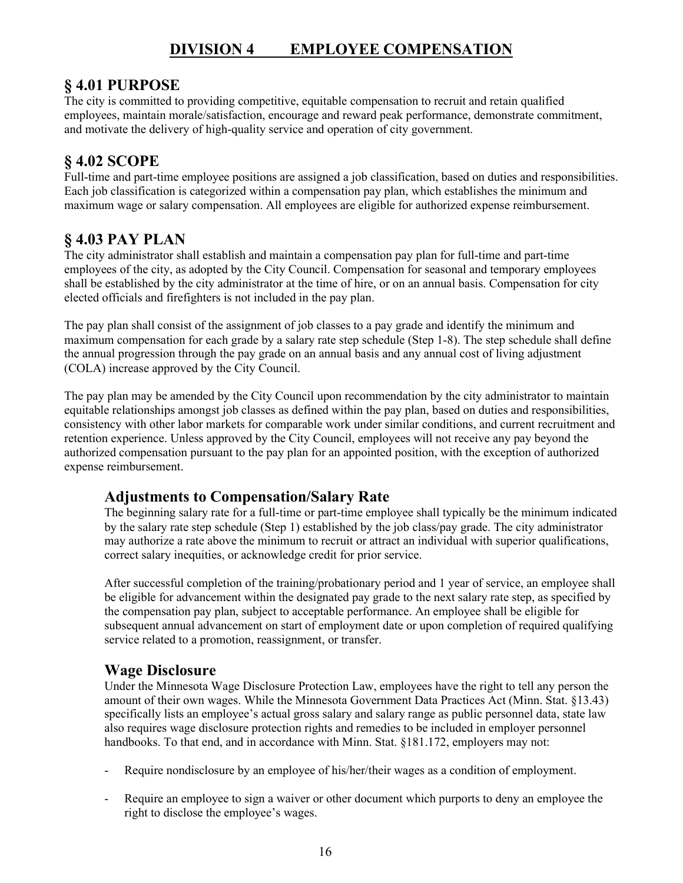# **DIVISION 4 EMPLOYEE COMPENSATION**

## **§ 4.01 PURPOSE**

The city is committed to providing competitive, equitable compensation to recruit and retain qualified employees, maintain morale/satisfaction, encourage and reward peak performance, demonstrate commitment, and motivate the delivery of high-quality service and operation of city government.

## **§ 4.02 SCOPE**

Full-time and part-time employee positions are assigned a job classification, based on duties and responsibilities. Each job classification is categorized within a compensation pay plan, which establishes the minimum and maximum wage or salary compensation. All employees are eligible for authorized expense reimbursement.

### **§ 4.03 PAY PLAN**

The city administrator shall establish and maintain a compensation pay plan for full-time and part-time employees of the city, as adopted by the City Council. Compensation for seasonal and temporary employees shall be established by the city administrator at the time of hire, or on an annual basis. Compensation for city elected officials and firefighters is not included in the pay plan.

The pay plan shall consist of the assignment of job classes to a pay grade and identify the minimum and maximum compensation for each grade by a salary rate step schedule (Step 1-8). The step schedule shall define the annual progression through the pay grade on an annual basis and any annual cost of living adjustment (COLA) increase approved by the City Council.

The pay plan may be amended by the City Council upon recommendation by the city administrator to maintain equitable relationships amongst job classes as defined within the pay plan, based on duties and responsibilities, consistency with other labor markets for comparable work under similar conditions, and current recruitment and retention experience. Unless approved by the City Council, employees will not receive any pay beyond the authorized compensation pursuant to the pay plan for an appointed position, with the exception of authorized expense reimbursement.

### **Adjustments to Compensation/Salary Rate**

The beginning salary rate for a full-time or part-time employee shall typically be the minimum indicated by the salary rate step schedule (Step 1) established by the job class/pay grade. The city administrator may authorize a rate above the minimum to recruit or attract an individual with superior qualifications, correct salary inequities, or acknowledge credit for prior service.

After successful completion of the training/probationary period and 1 year of service, an employee shall be eligible for advancement within the designated pay grade to the next salary rate step, as specified by the compensation pay plan, subject to acceptable performance. An employee shall be eligible for subsequent annual advancement on start of employment date or upon completion of required qualifying service related to a promotion, reassignment, or transfer.

## **Wage Disclosure**

Under the Minnesota Wage Disclosure Protection Law, employees have the right to tell any person the amount of their own wages. While the Minnesota Government Data Practices Act (Minn. Stat. §13.43) specifically lists an employee's actual gross salary and salary range as public personnel data, state law also requires wage disclosure protection rights and remedies to be included in employer personnel handbooks. To that end, and in accordance with Minn. Stat. §181.172, employers may not:

- Require nondisclosure by an employee of his/her/their wages as a condition of employment.
- Require an employee to sign a waiver or other document which purports to deny an employee the right to disclose the employee's wages.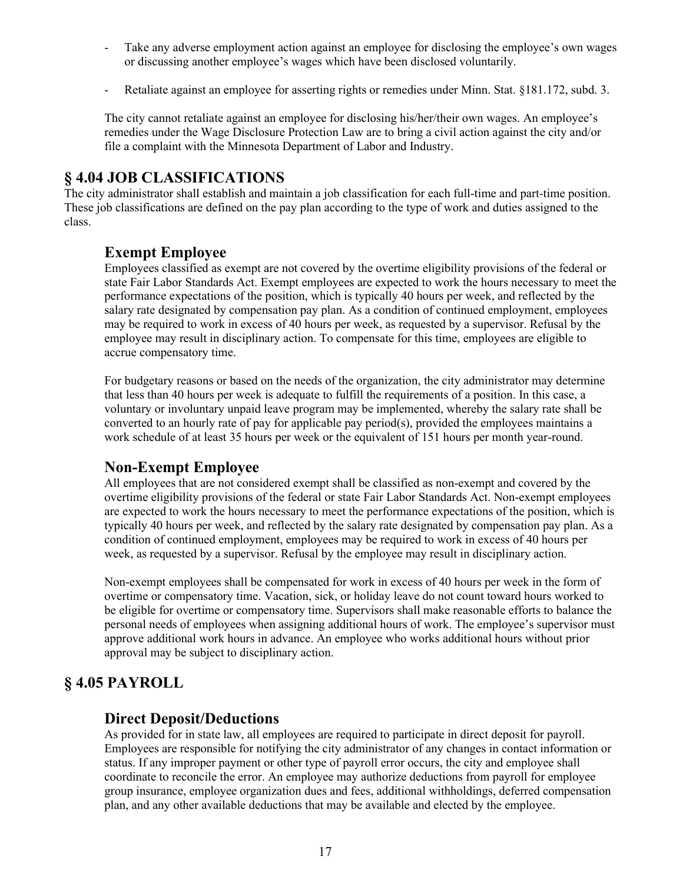- Take any adverse employment action against an employee for disclosing the employee's own wages or discussing another employee's wages which have been disclosed voluntarily.
- Retaliate against an employee for asserting rights or remedies under Minn. Stat. §181.172, subd. 3.

The city cannot retaliate against an employee for disclosing his/her/their own wages. An employee's remedies under the Wage Disclosure Protection Law are to bring a civil action against the city and/or file a complaint with the Minnesota Department of Labor and Industry.

### **§ 4.04 JOB CLASSIFICATIONS**

The city administrator shall establish and maintain a job classification for each full-time and part-time position. These job classifications are defined on the pay plan according to the type of work and duties assigned to the class.

### **Exempt Employee**

Employees classified as exempt are not covered by the overtime eligibility provisions of the federal or state Fair Labor Standards Act. Exempt employees are expected to work the hours necessary to meet the performance expectations of the position, which is typically 40 hours per week, and reflected by the salary rate designated by compensation pay plan. As a condition of continued employment, employees may be required to work in excess of 40 hours per week, as requested by a supervisor. Refusal by the employee may result in disciplinary action. To compensate for this time, employees are eligible to accrue compensatory time.

For budgetary reasons or based on the needs of the organization, the city administrator may determine that less than 40 hours per week is adequate to fulfill the requirements of a position. In this case, a voluntary or involuntary unpaid leave program may be implemented, whereby the salary rate shall be converted to an hourly rate of pay for applicable pay period(s), provided the employees maintains a work schedule of at least 35 hours per week or the equivalent of 151 hours per month year-round.

## **Non-Exempt Employee**

All employees that are not considered exempt shall be classified as non-exempt and covered by the overtime eligibility provisions of the federal or state Fair Labor Standards Act. Non-exempt employees are expected to work the hours necessary to meet the performance expectations of the position, which is typically 40 hours per week, and reflected by the salary rate designated by compensation pay plan. As a condition of continued employment, employees may be required to work in excess of 40 hours per week, as requested by a supervisor. Refusal by the employee may result in disciplinary action.

Non-exempt employees shall be compensated for work in excess of 40 hours per week in the form of overtime or compensatory time. Vacation, sick, or holiday leave do not count toward hours worked to be eligible for overtime or compensatory time. Supervisors shall make reasonable efforts to balance the personal needs of employees when assigning additional hours of work. The employee's supervisor must approve additional work hours in advance. An employee who works additional hours without prior approval may be subject to disciplinary action.

# **§ 4.05 PAYROLL**

#### **Direct Deposit/Deductions**

As provided for in state law, all employees are required to participate in direct deposit for payroll. Employees are responsible for notifying the city administrator of any changes in contact information or status. If any improper payment or other type of payroll error occurs, the city and employee shall coordinate to reconcile the error. An employee may authorize deductions from payroll for employee group insurance, employee organization dues and fees, additional withholdings, deferred compensation plan, and any other available deductions that may be available and elected by the employee.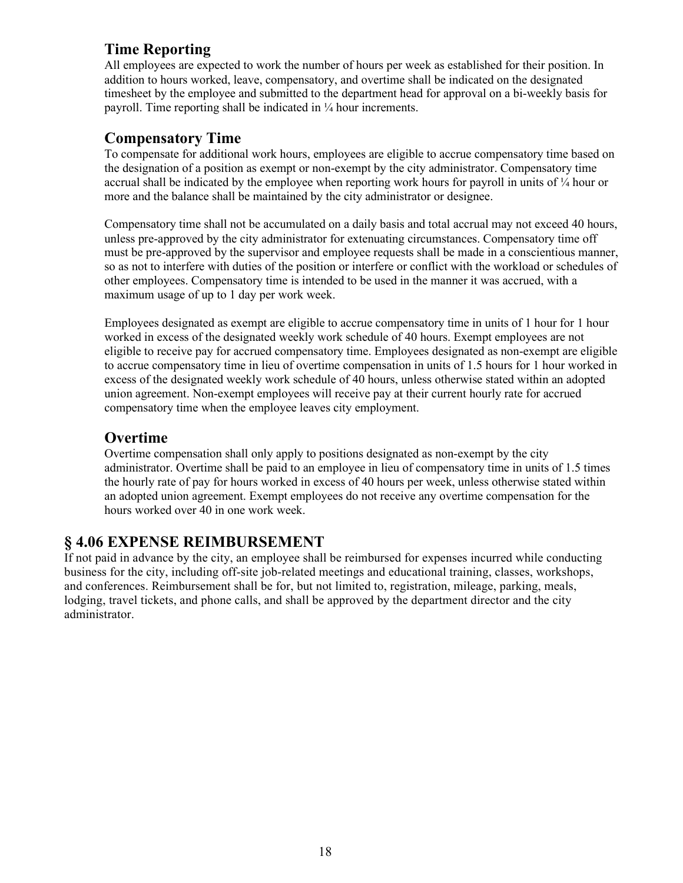# **Time Reporting**

All employees are expected to work the number of hours per week as established for their position. In addition to hours worked, leave, compensatory, and overtime shall be indicated on the designated timesheet by the employee and submitted to the department head for approval on a bi-weekly basis for payroll. Time reporting shall be indicated in ¼ hour increments.

### **Compensatory Time**

To compensate for additional work hours, employees are eligible to accrue compensatory time based on the designation of a position as exempt or non-exempt by the city administrator. Compensatory time accrual shall be indicated by the employee when reporting work hours for payroll in units of  $\frac{1}{4}$  hour or more and the balance shall be maintained by the city administrator or designee.

Compensatory time shall not be accumulated on a daily basis and total accrual may not exceed 40 hours, unless pre-approved by the city administrator for extenuating circumstances. Compensatory time off must be pre-approved by the supervisor and employee requests shall be made in a conscientious manner, so as not to interfere with duties of the position or interfere or conflict with the workload or schedules of other employees. Compensatory time is intended to be used in the manner it was accrued, with a maximum usage of up to 1 day per work week.

Employees designated as exempt are eligible to accrue compensatory time in units of 1 hour for 1 hour worked in excess of the designated weekly work schedule of 40 hours. Exempt employees are not eligible to receive pay for accrued compensatory time. Employees designated as non-exempt are eligible to accrue compensatory time in lieu of overtime compensation in units of 1.5 hours for 1 hour worked in excess of the designated weekly work schedule of 40 hours, unless otherwise stated within an adopted union agreement. Non-exempt employees will receive pay at their current hourly rate for accrued compensatory time when the employee leaves city employment.

### **Overtime**

Overtime compensation shall only apply to positions designated as non-exempt by the city administrator. Overtime shall be paid to an employee in lieu of compensatory time in units of 1.5 times the hourly rate of pay for hours worked in excess of 40 hours per week, unless otherwise stated within an adopted union agreement. Exempt employees do not receive any overtime compensation for the hours worked over 40 in one work week.

# **§ 4.06 EXPENSE REIMBURSEMENT**

If not paid in advance by the city, an employee shall be reimbursed for expenses incurred while conducting business for the city, including off-site job-related meetings and educational training, classes, workshops, and conferences. Reimbursement shall be for, but not limited to, registration, mileage, parking, meals, lodging, travel tickets, and phone calls, and shall be approved by the department director and the city administrator.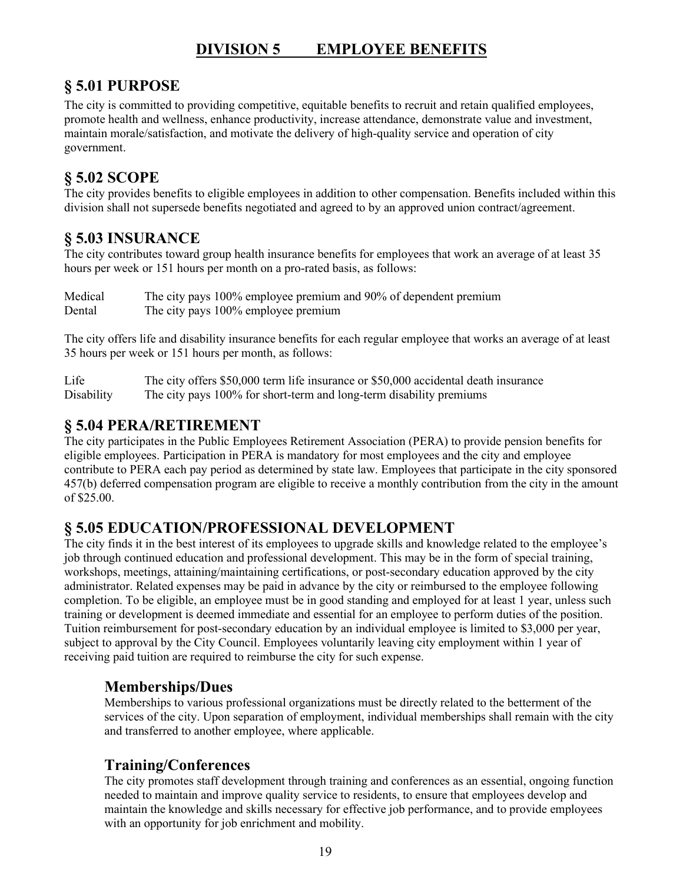# **DIVISION 5 EMPLOYEE BENEFITS**

## **§ 5.01 PURPOSE**

The city is committed to providing competitive, equitable benefits to recruit and retain qualified employees, promote health and wellness, enhance productivity, increase attendance, demonstrate value and investment, maintain morale/satisfaction, and motivate the delivery of high-quality service and operation of city government.

# **§ 5.02 SCOPE**

The city provides benefits to eligible employees in addition to other compensation. Benefits included within this division shall not supersede benefits negotiated and agreed to by an approved union contract/agreement.

## **§ 5.03 INSURANCE**

The city contributes toward group health insurance benefits for employees that work an average of at least 35 hours per week or 151 hours per month on a pro-rated basis, as follows:

Medical The city pays 100% employee premium and 90% of dependent premium Dental The city pays 100% employee premium

The city offers life and disability insurance benefits for each regular employee that works an average of at least 35 hours per week or 151 hours per month, as follows:

Life The city offers \$50,000 term life insurance or \$50,000 accidental death insurance Disability The city pays 100% for short-term and long-term disability premiums

### **§ 5.04 PERA/RETIREMENT**

The city participates in the Public Employees Retirement Association (PERA) to provide pension benefits for eligible employees. Participation in PERA is mandatory for most employees and the city and employee contribute to PERA each pay period as determined by state law. Employees that participate in the city sponsored 457(b) deferred compensation program are eligible to receive a monthly contribution from the city in the amount of \$25.00.

## **§ 5.05 EDUCATION/PROFESSIONAL DEVELOPMENT**

The city finds it in the best interest of its employees to upgrade skills and knowledge related to the employee's job through continued education and professional development. This may be in the form of special training, workshops, meetings, attaining/maintaining certifications, or post-secondary education approved by the city administrator. Related expenses may be paid in advance by the city or reimbursed to the employee following completion. To be eligible, an employee must be in good standing and employed for at least 1 year, unless such training or development is deemed immediate and essential for an employee to perform duties of the position. Tuition reimbursement for post-secondary education by an individual employee is limited to \$3,000 per year, subject to approval by the City Council. Employees voluntarily leaving city employment within 1 year of receiving paid tuition are required to reimburse the city for such expense.

### **Memberships/Dues**

Memberships to various professional organizations must be directly related to the betterment of the services of the city. Upon separation of employment, individual memberships shall remain with the city and transferred to another employee, where applicable.

## **Training/Conferences**

The city promotes staff development through training and conferences as an essential, ongoing function needed to maintain and improve quality service to residents, to ensure that employees develop and maintain the knowledge and skills necessary for effective job performance, and to provide employees with an opportunity for job enrichment and mobility.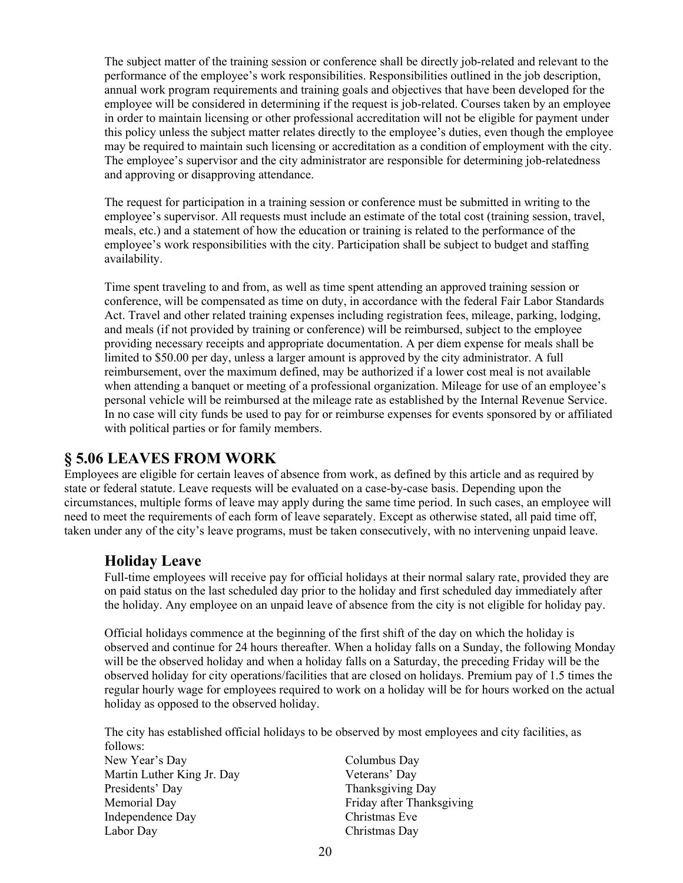The subject matter of the training session or conference shall be directly job-related and relevant to the performance of the employee's work responsibilities. Responsibilities outlined in the job description, annual work program requirements and training goals and objectives that have been developed for the employee will be considered in determining if the request is job-related. Courses taken by an employee in order to maintain licensing or other professional accreditation will not be eligible for payment under this policy unless the subject matter relates directly to the employee's duties, even though the employee may be required to maintain such licensing or accreditation as a condition of employment with the city. The employee's supervisor and the city administrator are responsible for determining job-relatedness and approving or disapproving attendance.

The request for participation in a training session or conference must be submitted in writing to the employee's supervisor. All requests must include an estimate of the total cost (training session, travel, meals, etc.) and a statement of how the education or training is related to the performance of the employee's work responsibilities with the city. Participation shall be subject to budget and staffing availability.

Time spent traveling to and from, as well as time spent attending an approved training session or conference, will be compensated as time on duty, in accordance with the federal Fair Labor Standards Act. Travel and other related training expenses including registration fees, mileage, parking, lodging, and meals (if not provided by training or conference) will be reimbursed, subject to the employee providing necessary receipts and appropriate documentation. A per diem expense for meals shall be limited to \$50.00 per day, unless a larger amount is approved by the city administrator. A full reimbursement, over the maximum defined, may be authorized if a lower cost meal is not available when attending a banquet or meeting of a professional organization. Mileage for use of an employee's personal vehicle will be reimbursed at the mileage rate as established by the Internal Revenue Service. In no case will city funds be used to pay for or reimburse expenses for events sponsored by or affiliated with political parties or for family members.

## **§ 5.06 LEAVES FROM WORK**

Employees are eligible for certain leaves of absence from work, as defined by this article and as required by state or federal statute. Leave requests will be evaluated on a case-by-case basis. Depending upon the circumstances, multiple forms of leave may apply during the same time period. In such cases, an employee will need to meet the requirements of each form of leave separately. Except as otherwise stated, all paid time off, taken under any of the city's leave programs, must be taken consecutively, with no intervening unpaid leave.

### **Holiday Leave**

Full-time employees will receive pay for official holidays at their normal salary rate, provided they are on paid status on the last scheduled day prior to the holiday and first scheduled day immediately after the holiday. Any employee on an unpaid leave of absence from the city is not eligible for holiday pay.

Official holidays commence at the beginning of the first shift of the day on which the holiday is observed and continue for 24 hours thereafter. When a holiday falls on a Sunday, the following Monday will be the observed holiday and when a holiday falls on a Saturday, the preceding Friday will be the observed holiday for city operations/facilities that are closed on holidays. Premium pay of 1.5 times the regular hourly wage for employees required to work on a holiday will be for hours worked on the actual holiday as opposed to the observed holiday.

The city has established official holidays to be observed by most employees and city facilities, as follows: New Year's Day Columbus Day Martin Luther King Jr. Day Veterans' Day Presidents' Day Thanksgiving Day Memorial Day **Fill** Series Research Memorial Day Independence Day Christmas Eve Labor Day Christmas Day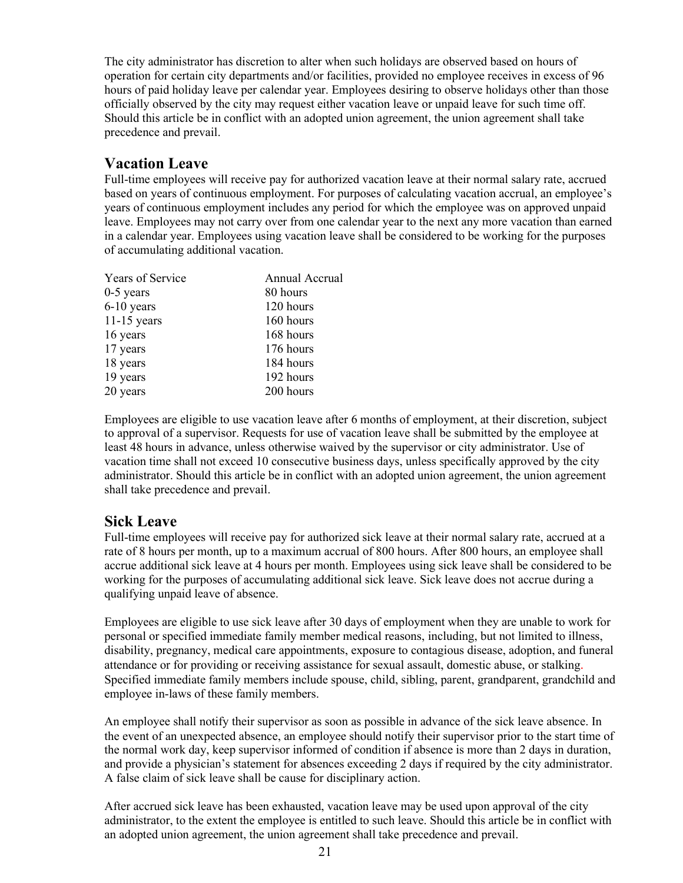The city administrator has discretion to alter when such holidays are observed based on hours of operation for certain city departments and/or facilities, provided no employee receives in excess of 96 hours of paid holiday leave per calendar year. Employees desiring to observe holidays other than those officially observed by the city may request either vacation leave or unpaid leave for such time off. Should this article be in conflict with an adopted union agreement, the union agreement shall take precedence and prevail.

### **Vacation Leave**

Full-time employees will receive pay for authorized vacation leave at their normal salary rate, accrued based on years of continuous employment. For purposes of calculating vacation accrual, an employee's years of continuous employment includes any period for which the employee was on approved unpaid leave. Employees may not carry over from one calendar year to the next any more vacation than earned in a calendar year. Employees using vacation leave shall be considered to be working for the purposes of accumulating additional vacation.

| Annual Accrual |
|----------------|
| 80 hours       |
| 120 hours      |
| 160 hours      |
| 168 hours      |
| 176 hours      |
| 184 hours      |
| 192 hours      |
| 200 hours      |
|                |

Employees are eligible to use vacation leave after 6 months of employment, at their discretion, subject to approval of a supervisor. Requests for use of vacation leave shall be submitted by the employee at least 48 hours in advance, unless otherwise waived by the supervisor or city administrator. Use of vacation time shall not exceed 10 consecutive business days, unless specifically approved by the city administrator. Should this article be in conflict with an adopted union agreement, the union agreement shall take precedence and prevail.

### **Sick Leave**

Full-time employees will receive pay for authorized sick leave at their normal salary rate, accrued at a rate of 8 hours per month, up to a maximum accrual of 800 hours. After 800 hours, an employee shall accrue additional sick leave at 4 hours per month. Employees using sick leave shall be considered to be working for the purposes of accumulating additional sick leave. Sick leave does not accrue during a qualifying unpaid leave of absence.

Employees are eligible to use sick leave after 30 days of employment when they are unable to work for personal or specified immediate family member medical reasons, including, but not limited to illness, disability, pregnancy, medical care appointments, exposure to contagious disease, adoption, and funeral attendance or for providing or receiving assistance for sexual assault, domestic abuse, or stalking. Specified immediate family members include spouse, child, sibling, parent, grandparent, grandchild and employee in-laws of these family members.

An employee shall notify their supervisor as soon as possible in advance of the sick leave absence. In the event of an unexpected absence, an employee should notify their supervisor prior to the start time of the normal work day, keep supervisor informed of condition if absence is more than 2 days in duration, and provide a physician's statement for absences exceeding 2 days if required by the city administrator. A false claim of sick leave shall be cause for disciplinary action.

After accrued sick leave has been exhausted, vacation leave may be used upon approval of the city administrator, to the extent the employee is entitled to such leave. Should this article be in conflict with an adopted union agreement, the union agreement shall take precedence and prevail.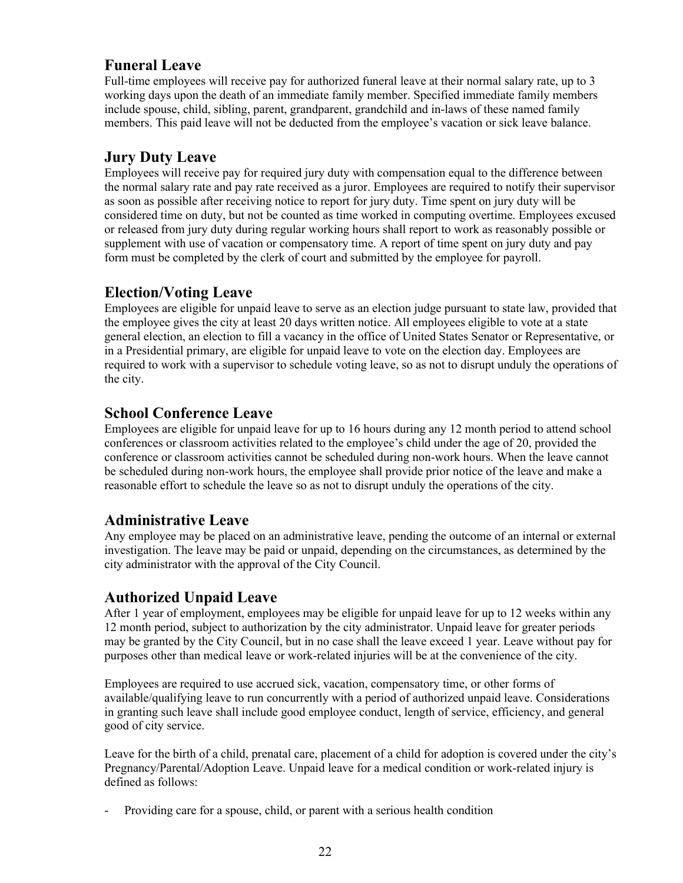### **Funeral Leave**

Full-time employees will receive pay for authorized funeral leave at their normal salary rate, up to 3 working days upon the death of an immediate family member. Specified immediate family members include spouse, child, sibling, parent, grandparent, grandchild and in-laws of these named family members. This paid leave will not be deducted from the employee's vacation or sick leave balance.

## **Jury Duty Leave**

Employees will receive pay for required jury duty with compensation equal to the difference between the normal salary rate and pay rate received as a juror. Employees are required to notify their supervisor as soon as possible after receiving notice to report for jury duty. Time spent on jury duty will be considered time on duty, but not be counted as time worked in computing overtime. Employees excused or released from jury duty during regular working hours shall report to work as reasonably possible or supplement with use of vacation or compensatory time. A report of time spent on jury duty and pay form must be completed by the clerk of court and submitted by the employee for payroll.

# **Election/Voting Leave**

Employees are eligible for unpaid leave to serve as an election judge pursuant to state law, provided that the employee gives the city at least 20 days written notice. All employees eligible to vote at a state general election, an election to fill a vacancy in the office of United States Senator or Representative, or in a Presidential primary, are eligible for unpaid leave to vote on the election day. Employees are required to work with a supervisor to schedule voting leave, so as not to disrupt unduly the operations of the city.

# **School Conference Leave**

Employees are eligible for unpaid leave for up to 16 hours during any 12 month period to attend school conferences or classroom activities related to the employee's child under the age of 20, provided the conference or classroom activities cannot be scheduled during non-work hours. When the leave cannot be scheduled during non-work hours, the employee shall provide prior notice of the leave and make a reasonable effort to schedule the leave so as not to disrupt unduly the operations of the city.

## **Administrative Leave**

Any employee may be placed on an administrative leave, pending the outcome of an internal or external investigation. The leave may be paid or unpaid, depending on the circumstances, as determined by the city administrator with the approval of the City Council.

# **Authorized Unpaid Leave**

After 1 year of employment, employees may be eligible for unpaid leave for up to 12 weeks within any 12 month period, subject to authorization by the city administrator. Unpaid leave for greater periods may be granted by the City Council, but in no case shall the leave exceed 1 year. Leave without pay for purposes other than medical leave or work-related injuries will be at the convenience of the city.

Employees are required to use accrued sick, vacation, compensatory time, or other forms of available/qualifying leave to run concurrently with a period of authorized unpaid leave. Considerations in granting such leave shall include good employee conduct, length of service, efficiency, and general good of city service.

Leave for the birth of a child, prenatal care, placement of a child for adoption is covered under the city's Pregnancy/Parental/Adoption Leave. Unpaid leave for a medical condition or work-related injury is defined as follows:

Providing care for a spouse, child, or parent with a serious health condition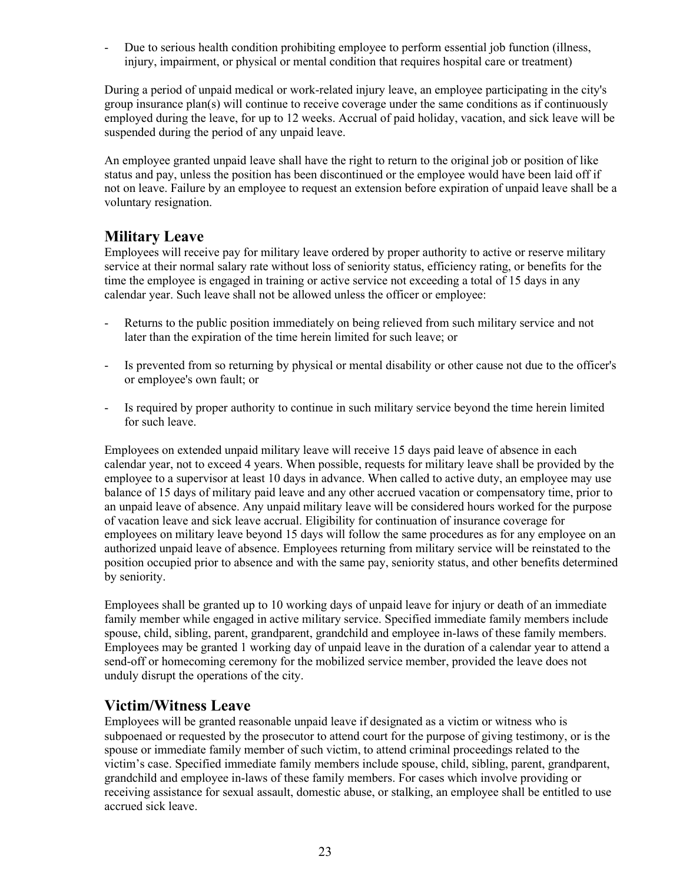- Due to serious health condition prohibiting employee to perform essential job function (illness, injury, impairment, or physical or mental condition that requires hospital care or treatment)

During a period of unpaid medical or work-related injury leave, an employee participating in the city's group insurance plan(s) will continue to receive coverage under the same conditions as if continuously employed during the leave, for up to 12 weeks. Accrual of paid holiday, vacation, and sick leave will be suspended during the period of any unpaid leave.

An employee granted unpaid leave shall have the right to return to the original job or position of like status and pay, unless the position has been discontinued or the employee would have been laid off if not on leave. Failure by an employee to request an extension before expiration of unpaid leave shall be a voluntary resignation.

### **Military Leave**

Employees will receive pay for military leave ordered by proper authority to active or reserve military service at their normal salary rate without loss of seniority status, efficiency rating, or benefits for the time the employee is engaged in training or active service not exceeding a total of 15 days in any calendar year. Such leave shall not be allowed unless the officer or employee:

- Returns to the public position immediately on being relieved from such military service and not later than the expiration of the time herein limited for such leave; or
- Is prevented from so returning by physical or mental disability or other cause not due to the officer's or employee's own fault; or
- Is required by proper authority to continue in such military service beyond the time herein limited for such leave.

Employees on extended unpaid military leave will receive 15 days paid leave of absence in each calendar year, not to exceed 4 years. When possible, requests for military leave shall be provided by the employee to a supervisor at least 10 days in advance. When called to active duty, an employee may use balance of 15 days of military paid leave and any other accrued vacation or compensatory time, prior to an unpaid leave of absence. Any unpaid military leave will be considered hours worked for the purpose of vacation leave and sick leave accrual. Eligibility for continuation of insurance coverage for employees on military leave beyond 15 days will follow the same procedures as for any employee on an authorized unpaid leave of absence. Employees returning from military service will be reinstated to the position occupied prior to absence and with the same pay, seniority status, and other benefits determined by seniority.

Employees shall be granted up to 10 working days of unpaid leave for injury or death of an immediate family member while engaged in active military service. Specified immediate family members include spouse, child, sibling, parent, grandparent, grandchild and employee in-laws of these family members. Employees may be granted 1 working day of unpaid leave in the duration of a calendar year to attend a send-off or homecoming ceremony for the mobilized service member, provided the leave does not unduly disrupt the operations of the city.

### **Victim/Witness Leave**

Employees will be granted reasonable unpaid leave if designated as a victim or witness who is subpoenaed or requested by the prosecutor to attend court for the purpose of giving testimony, or is the spouse or immediate family member of such victim, to attend criminal proceedings related to the victim's case. Specified immediate family members include spouse, child, sibling, parent, grandparent, grandchild and employee in-laws of these family members. For cases which involve providing or receiving assistance for sexual assault, domestic abuse, or stalking, an employee shall be entitled to use accrued sick leave.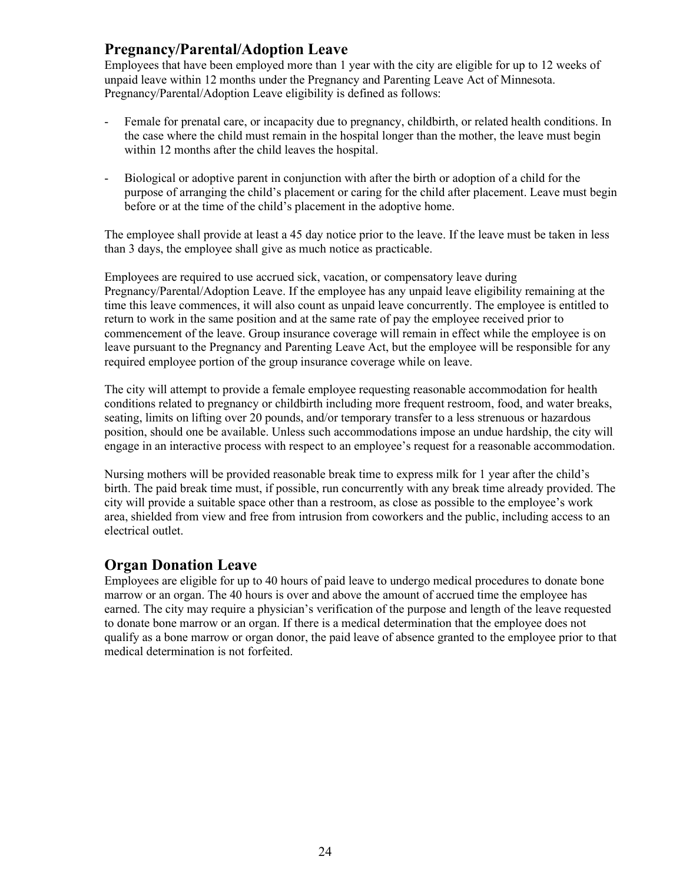### **Pregnancy/Parental/Adoption Leave**

Employees that have been employed more than 1 year with the city are eligible for up to 12 weeks of unpaid leave within 12 months under the Pregnancy and Parenting Leave Act of Minnesota. Pregnancy/Parental/Adoption Leave eligibility is defined as follows:

- Female for prenatal care, or incapacity due to pregnancy, childbirth, or related health conditions. In the case where the child must remain in the hospital longer than the mother, the leave must begin within 12 months after the child leaves the hospital.
- Biological or adoptive parent in conjunction with after the birth or adoption of a child for the purpose of arranging the child's placement or caring for the child after placement. Leave must begin before or at the time of the child's placement in the adoptive home.

The employee shall provide at least a 45 day notice prior to the leave. If the leave must be taken in less than 3 days, the employee shall give as much notice as practicable.

Employees are required to use accrued sick, vacation, or compensatory leave during Pregnancy/Parental/Adoption Leave. If the employee has any unpaid leave eligibility remaining at the time this leave commences, it will also count as unpaid leave concurrently. The employee is entitled to return to work in the same position and at the same rate of pay the employee received prior to commencement of the leave. Group insurance coverage will remain in effect while the employee is on leave pursuant to the Pregnancy and Parenting Leave Act, but the employee will be responsible for any required employee portion of the group insurance coverage while on leave.

The city will attempt to provide a female employee requesting reasonable accommodation for health conditions related to pregnancy or childbirth including more frequent restroom, food, and water breaks, seating, limits on lifting over 20 pounds, and/or temporary transfer to a less strenuous or hazardous position, should one be available. Unless such accommodations impose an undue hardship, the city will engage in an interactive process with respect to an employee's request for a reasonable accommodation.

Nursing mothers will be provided reasonable break time to express milk for 1 year after the child's birth. The paid break time must, if possible, run concurrently with any break time already provided. The city will provide a suitable space other than a restroom, as close as possible to the employee's work area, shielded from view and free from intrusion from coworkers and the public, including access to an electrical outlet.

## **Organ Donation Leave**

Employees are eligible for up to 40 hours of paid leave to undergo medical procedures to donate bone marrow or an organ. The 40 hours is over and above the amount of accrued time the employee has earned. The city may require a physician's verification of the purpose and length of the leave requested to donate bone marrow or an organ. If there is a medical determination that the employee does not qualify as a bone marrow or organ donor, the paid leave of absence granted to the employee prior to that medical determination is not forfeited.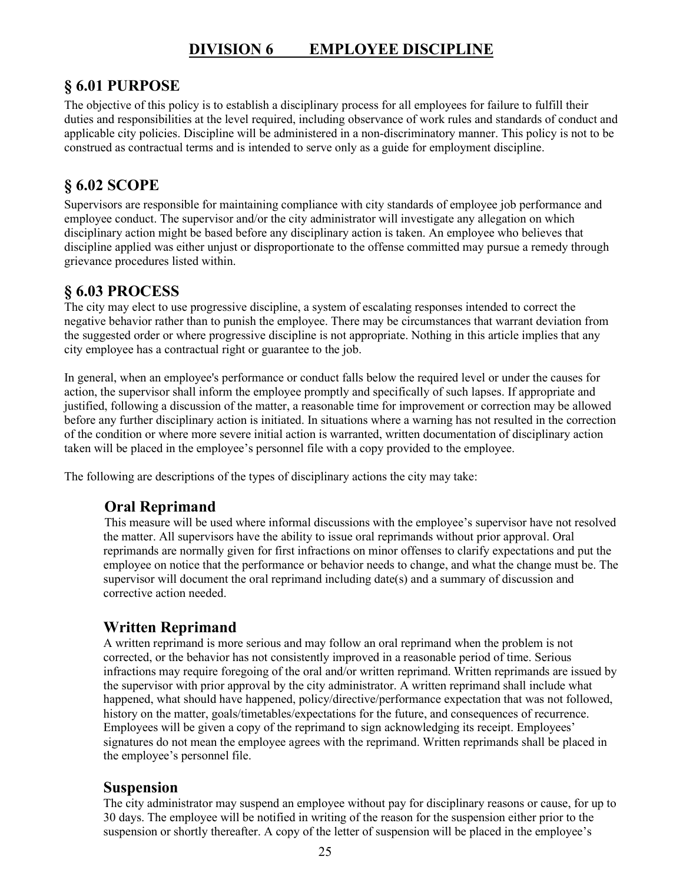# **DIVISION 6 EMPLOYEE DISCIPLINE**

### **§ 6.01 PURPOSE**

The objective of this policy is to establish a disciplinary process for all employees for failure to fulfill their duties and responsibilities at the level required, including observance of work rules and standards of conduct and applicable city policies. Discipline will be administered in a non-discriminatory manner. This policy is not to be construed as contractual terms and is intended to serve only as a guide for employment discipline.

# **§ 6.02 SCOPE**

Supervisors are responsible for maintaining compliance with city standards of employee job performance and employee conduct. The supervisor and/or the city administrator will investigate any allegation on which disciplinary action might be based before any disciplinary action is taken. An employee who believes that discipline applied was either unjust or disproportionate to the offense committed may pursue a remedy through grievance procedures listed within.

### **§ 6.03 PROCESS**

The city may elect to use progressive discipline, a system of escalating responses intended to correct the negative behavior rather than to punish the employee. There may be circumstances that warrant deviation from the suggested order or where progressive discipline is not appropriate. Nothing in this article implies that any city employee has a contractual right or guarantee to the job.

In general, when an employee's performance or conduct falls below the required level or under the causes for action, the supervisor shall inform the employee promptly and specifically of such lapses. If appropriate and justified, following a discussion of the matter, a reasonable time for improvement or correction may be allowed before any further disciplinary action is initiated. In situations where a warning has not resulted in the correction of the condition or where more severe initial action is warranted, written documentation of disciplinary action taken will be placed in the employee's personnel file with a copy provided to the employee.

The following are descriptions of the types of disciplinary actions the city may take:

## **Oral Reprimand**

This measure will be used where informal discussions with the employee's supervisor have not resolved the matter. All supervisors have the ability to issue oral reprimands without prior approval. Oral reprimands are normally given for first infractions on minor offenses to clarify expectations and put the employee on notice that the performance or behavior needs to change, and what the change must be. The supervisor will document the oral reprimand including date(s) and a summary of discussion and corrective action needed.

## **Written Reprimand**

A written reprimand is more serious and may follow an oral reprimand when the problem is not corrected, or the behavior has not consistently improved in a reasonable period of time. Serious infractions may require foregoing of the oral and/or written reprimand. Written reprimands are issued by the supervisor with prior approval by the city administrator. A written reprimand shall include what happened, what should have happened, policy/directive/performance expectation that was not followed, history on the matter, goals/timetables/expectations for the future, and consequences of recurrence. Employees will be given a copy of the reprimand to sign acknowledging its receipt. Employees' signatures do not mean the employee agrees with the reprimand. Written reprimands shall be placed in the employee's personnel file.

#### **Suspension**

The city administrator may suspend an employee without pay for disciplinary reasons or cause, for up to 30 days. The employee will be notified in writing of the reason for the suspension either prior to the suspension or shortly thereafter. A copy of the letter of suspension will be placed in the employee's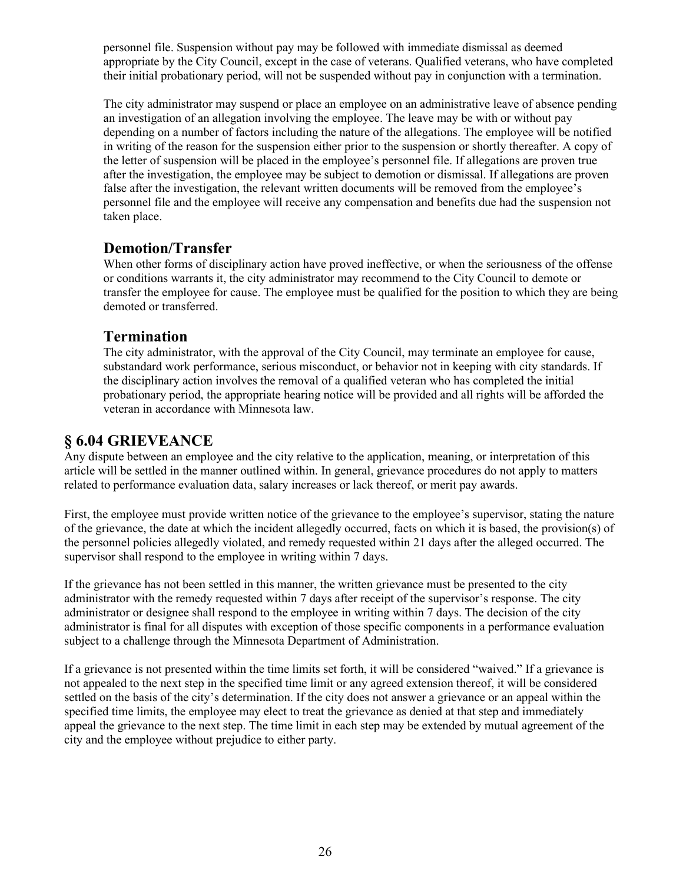personnel file. Suspension without pay may be followed with immediate dismissal as deemed appropriate by the City Council, except in the case of veterans. Qualified veterans, who have completed their initial probationary period, will not be suspended without pay in conjunction with a termination.

The city administrator may suspend or place an employee on an administrative leave of absence pending an investigation of an allegation involving the employee. The leave may be with or without pay depending on a number of factors including the nature of the allegations. The employee will be notified in writing of the reason for the suspension either prior to the suspension or shortly thereafter. A copy of the letter of suspension will be placed in the employee's personnel file. If allegations are proven true after the investigation, the employee may be subject to demotion or dismissal. If allegations are proven false after the investigation, the relevant written documents will be removed from the employee's personnel file and the employee will receive any compensation and benefits due had the suspension not taken place.

### **Demotion/Transfer**

When other forms of disciplinary action have proved ineffective, or when the seriousness of the offense or conditions warrants it, the city administrator may recommend to the City Council to demote or transfer the employee for cause. The employee must be qualified for the position to which they are being demoted or transferred.

### **Termination**

The city administrator, with the approval of the City Council, may terminate an employee for cause, substandard work performance, serious misconduct, or behavior not in keeping with city standards. If the disciplinary action involves the removal of a qualified veteran who has completed the initial probationary period, the appropriate hearing notice will be provided and all rights will be afforded the veteran in accordance with Minnesota law.

### **§ 6.04 GRIEVEANCE**

Any dispute between an employee and the city relative to the application, meaning, or interpretation of this article will be settled in the manner outlined within. In general, grievance procedures do not apply to matters related to performance evaluation data, salary increases or lack thereof, or merit pay awards.

First, the employee must provide written notice of the grievance to the employee's supervisor, stating the nature of the grievance, the date at which the incident allegedly occurred, facts on which it is based, the provision(s) of the personnel policies allegedly violated, and remedy requested within 21 days after the alleged occurred. The supervisor shall respond to the employee in writing within 7 days.

If the grievance has not been settled in this manner, the written grievance must be presented to the city administrator with the remedy requested within 7 days after receipt of the supervisor's response. The city administrator or designee shall respond to the employee in writing within 7 days. The decision of the city administrator is final for all disputes with exception of those specific components in a performance evaluation subject to a challenge through the Minnesota Department of Administration.

If a grievance is not presented within the time limits set forth, it will be considered "waived." If a grievance is not appealed to the next step in the specified time limit or any agreed extension thereof, it will be considered settled on the basis of the city's determination. If the city does not answer a grievance or an appeal within the specified time limits, the employee may elect to treat the grievance as denied at that step and immediately appeal the grievance to the next step. The time limit in each step may be extended by mutual agreement of the city and the employee without prejudice to either party.